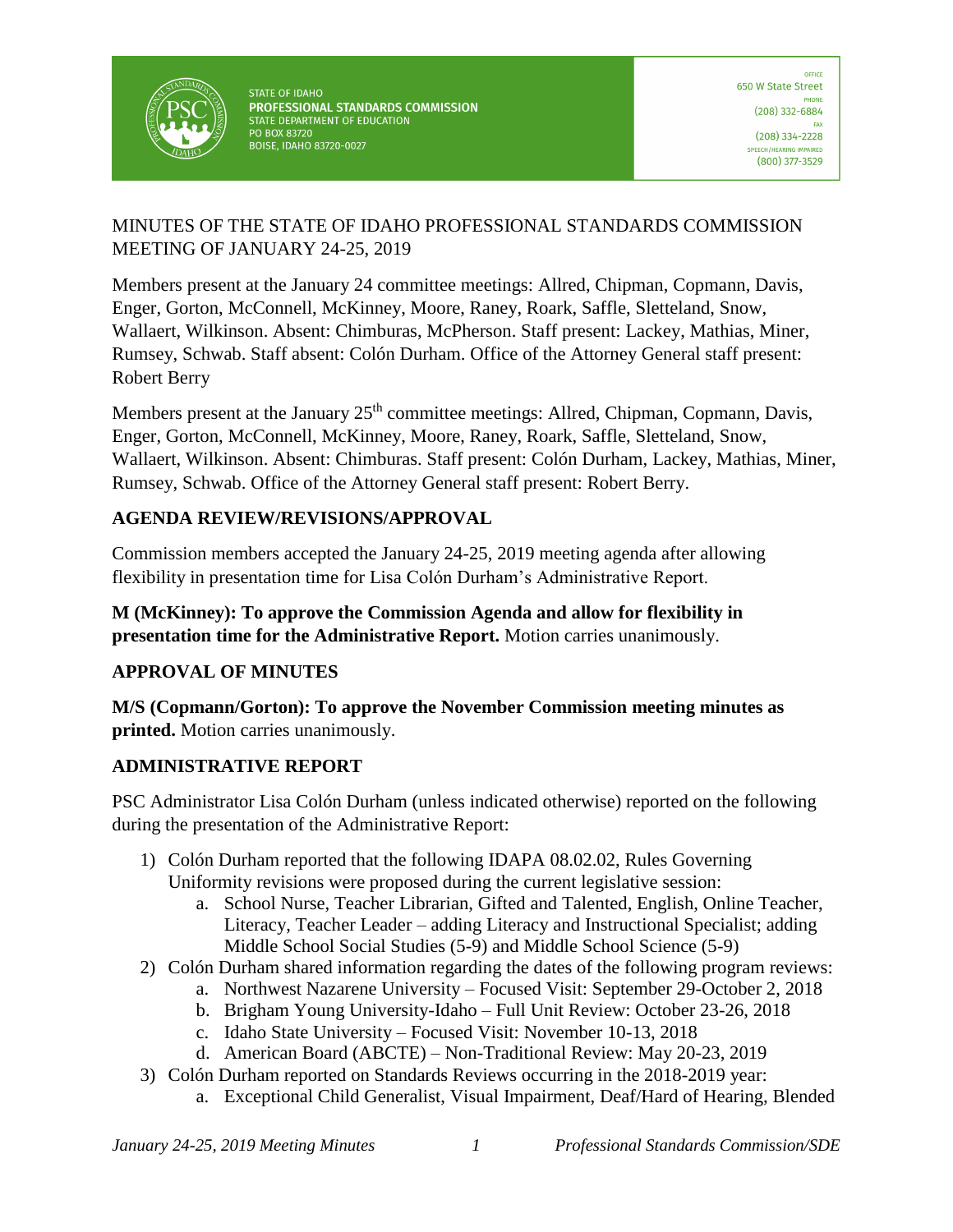

STATE OF IDAHO PROFESSIONAL STANDARDS COMMISSION STATE DEPARTMENT OF EDUCATION PO BOX 83720 **BOISE, IDAHO 83720-0027** 

## MINUTES OF THE STATE OF IDAHO PROFESSIONAL STANDARDS COMMISSION MEETING OF JANUARY 24-25, 2019

Members present at the January 24 committee meetings: Allred, Chipman, Copmann, Davis, Enger, Gorton, McConnell, McKinney, Moore, Raney, Roark, Saffle, Sletteland, Snow, Wallaert, Wilkinson. Absent: Chimburas, McPherson. Staff present: Lackey, Mathias, Miner, Rumsey, Schwab. Staff absent: Colón Durham. Office of the Attorney General staff present: Robert Berry

Members present at the January 25<sup>th</sup> committee meetings: Allred, Chipman, Copmann, Davis, Enger, Gorton, McConnell, McKinney, Moore, Raney, Roark, Saffle, Sletteland, Snow, Wallaert, Wilkinson. Absent: Chimburas. Staff present: Colón Durham, Lackey, Mathias, Miner, Rumsey, Schwab. Office of the Attorney General staff present: Robert Berry.

## **AGENDA REVIEW/REVISIONS/APPROVAL**

Commission members accepted the January 24-25, 2019 meeting agenda after allowing flexibility in presentation time for Lisa Colón Durham's Administrative Report.

**M (McKinney): To approve the Commission Agenda and allow for flexibility in presentation time for the Administrative Report.** Motion carries unanimously.

# **APPROVAL OF MINUTES**

**M/S (Copmann/Gorton): To approve the November Commission meeting minutes as printed.** Motion carries unanimously.

# **ADMINISTRATIVE REPORT**

PSC Administrator Lisa Colón Durham (unless indicated otherwise) reported on the following during the presentation of the Administrative Report:

- 1) Colón Durham reported that the following IDAPA 08.02.02, Rules Governing Uniformity revisions were proposed during the current legislative session:
	- a. School Nurse, Teacher Librarian, Gifted and Talented, English, Online Teacher, Literacy, Teacher Leader – adding Literacy and Instructional Specialist; adding Middle School Social Studies (5-9) and Middle School Science (5-9)
- 2) Colón Durham shared information regarding the dates of the following program reviews:
	- a. Northwest Nazarene University Focused Visit: September 29-October 2, 2018
	- b. Brigham Young University-Idaho Full Unit Review: October 23-26, 2018
	- c. Idaho State University Focused Visit: November 10-13, 2018
	- d. American Board (ABCTE) Non-Traditional Review: May 20-23, 2019
- 3) Colón Durham reported on Standards Reviews occurring in the 2018-2019 year:
	- a. Exceptional Child Generalist, Visual Impairment, Deaf/Hard of Hearing, Blended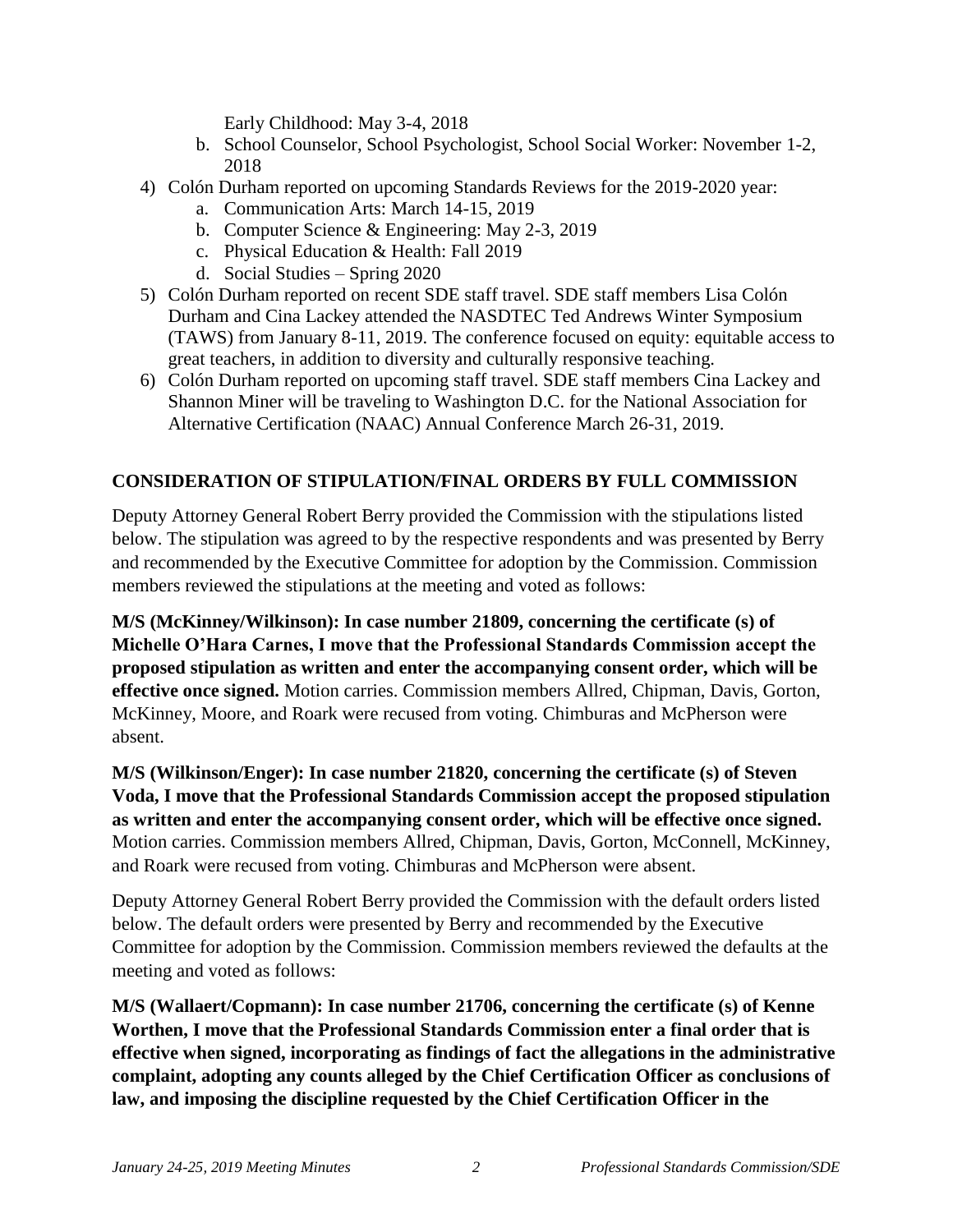Early Childhood: May 3-4, 2018

- b. School Counselor, School Psychologist, School Social Worker: November 1-2, 2018
- 4) Colón Durham reported on upcoming Standards Reviews for the 2019-2020 year:
	- a. Communication Arts: March 14-15, 2019
	- b. Computer Science & Engineering: May 2-3, 2019
	- c. Physical Education & Health: Fall 2019
	- d. Social Studies Spring 2020
- 5) Colón Durham reported on recent SDE staff travel. SDE staff members Lisa Colón Durham and Cina Lackey attended the NASDTEC Ted Andrews Winter Symposium (TAWS) from January 8-11, 2019. The conference focused on equity: equitable access to great teachers, in addition to diversity and culturally responsive teaching.
- 6) Colón Durham reported on upcoming staff travel. SDE staff members Cina Lackey and Shannon Miner will be traveling to Washington D.C. for the National Association for Alternative Certification (NAAC) Annual Conference March 26-31, 2019.

### **CONSIDERATION OF STIPULATION/FINAL ORDERS BY FULL COMMISSION**

Deputy Attorney General Robert Berry provided the Commission with the stipulations listed below. The stipulation was agreed to by the respective respondents and was presented by Berry and recommended by the Executive Committee for adoption by the Commission. Commission members reviewed the stipulations at the meeting and voted as follows:

**M/S (McKinney/Wilkinson): In case number 21809, concerning the certificate (s) of Michelle O'Hara Carnes, I move that the Professional Standards Commission accept the proposed stipulation as written and enter the accompanying consent order, which will be effective once signed.** Motion carries. Commission members Allred, Chipman, Davis, Gorton, McKinney, Moore, and Roark were recused from voting. Chimburas and McPherson were absent.

**M/S (Wilkinson/Enger): In case number 21820, concerning the certificate (s) of Steven Voda, I move that the Professional Standards Commission accept the proposed stipulation as written and enter the accompanying consent order, which will be effective once signed.**  Motion carries. Commission members Allred, Chipman, Davis, Gorton, McConnell, McKinney, and Roark were recused from voting. Chimburas and McPherson were absent.

Deputy Attorney General Robert Berry provided the Commission with the default orders listed below. The default orders were presented by Berry and recommended by the Executive Committee for adoption by the Commission. Commission members reviewed the defaults at the meeting and voted as follows:

**M/S (Wallaert/Copmann): In case number 21706, concerning the certificate (s) of Kenne Worthen, I move that the Professional Standards Commission enter a final order that is effective when signed, incorporating as findings of fact the allegations in the administrative complaint, adopting any counts alleged by the Chief Certification Officer as conclusions of law, and imposing the discipline requested by the Chief Certification Officer in the**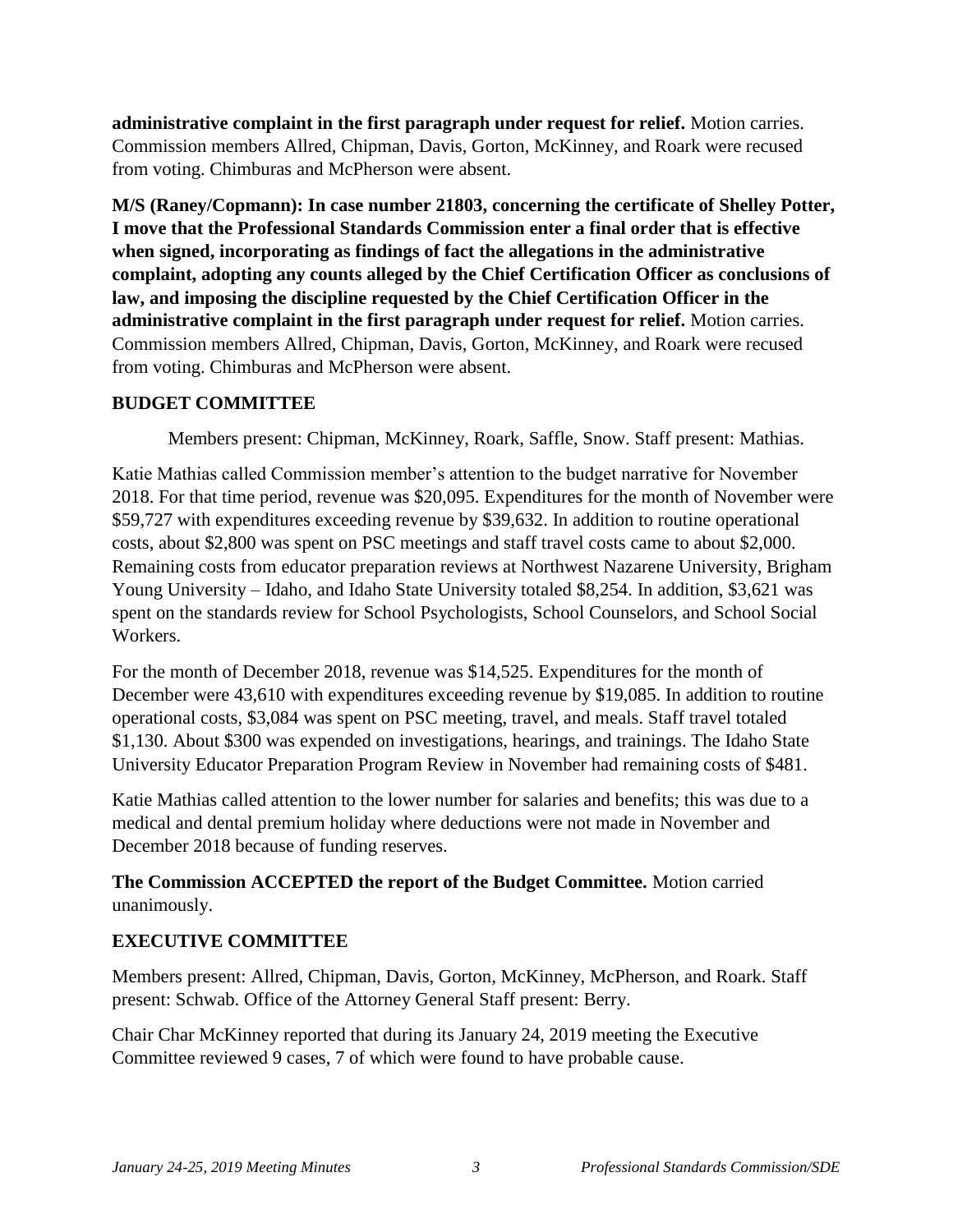**administrative complaint in the first paragraph under request for relief.** Motion carries. Commission members Allred, Chipman, Davis, Gorton, McKinney, and Roark were recused from voting. Chimburas and McPherson were absent.

**M/S (Raney/Copmann): In case number 21803, concerning the certificate of Shelley Potter, I move that the Professional Standards Commission enter a final order that is effective when signed, incorporating as findings of fact the allegations in the administrative complaint, adopting any counts alleged by the Chief Certification Officer as conclusions of law, and imposing the discipline requested by the Chief Certification Officer in the administrative complaint in the first paragraph under request for relief.** Motion carries. Commission members Allred, Chipman, Davis, Gorton, McKinney, and Roark were recused from voting. Chimburas and McPherson were absent.

### **BUDGET COMMITTEE**

Members present: Chipman, McKinney, Roark, Saffle, Snow. Staff present: Mathias.

Katie Mathias called Commission member's attention to the budget narrative for November 2018. For that time period, revenue was \$20,095. Expenditures for the month of November were \$59,727 with expenditures exceeding revenue by \$39,632. In addition to routine operational costs, about \$2,800 was spent on PSC meetings and staff travel costs came to about \$2,000. Remaining costs from educator preparation reviews at Northwest Nazarene University, Brigham Young University – Idaho, and Idaho State University totaled \$8,254. In addition, \$3,621 was spent on the standards review for School Psychologists, School Counselors, and School Social Workers.

For the month of December 2018, revenue was \$14,525. Expenditures for the month of December were 43,610 with expenditures exceeding revenue by \$19,085. In addition to routine operational costs, \$3,084 was spent on PSC meeting, travel, and meals. Staff travel totaled \$1,130. About \$300 was expended on investigations, hearings, and trainings. The Idaho State University Educator Preparation Program Review in November had remaining costs of \$481.

Katie Mathias called attention to the lower number for salaries and benefits; this was due to a medical and dental premium holiday where deductions were not made in November and December 2018 because of funding reserves.

## **The Commission ACCEPTED the report of the Budget Committee.** Motion carried unanimously.

# **EXECUTIVE COMMITTEE**

Members present: Allred, Chipman, Davis, Gorton, McKinney, McPherson, and Roark. Staff present: Schwab. Office of the Attorney General Staff present: Berry.

Chair Char McKinney reported that during its January 24, 2019 meeting the Executive Committee reviewed 9 cases, 7 of which were found to have probable cause.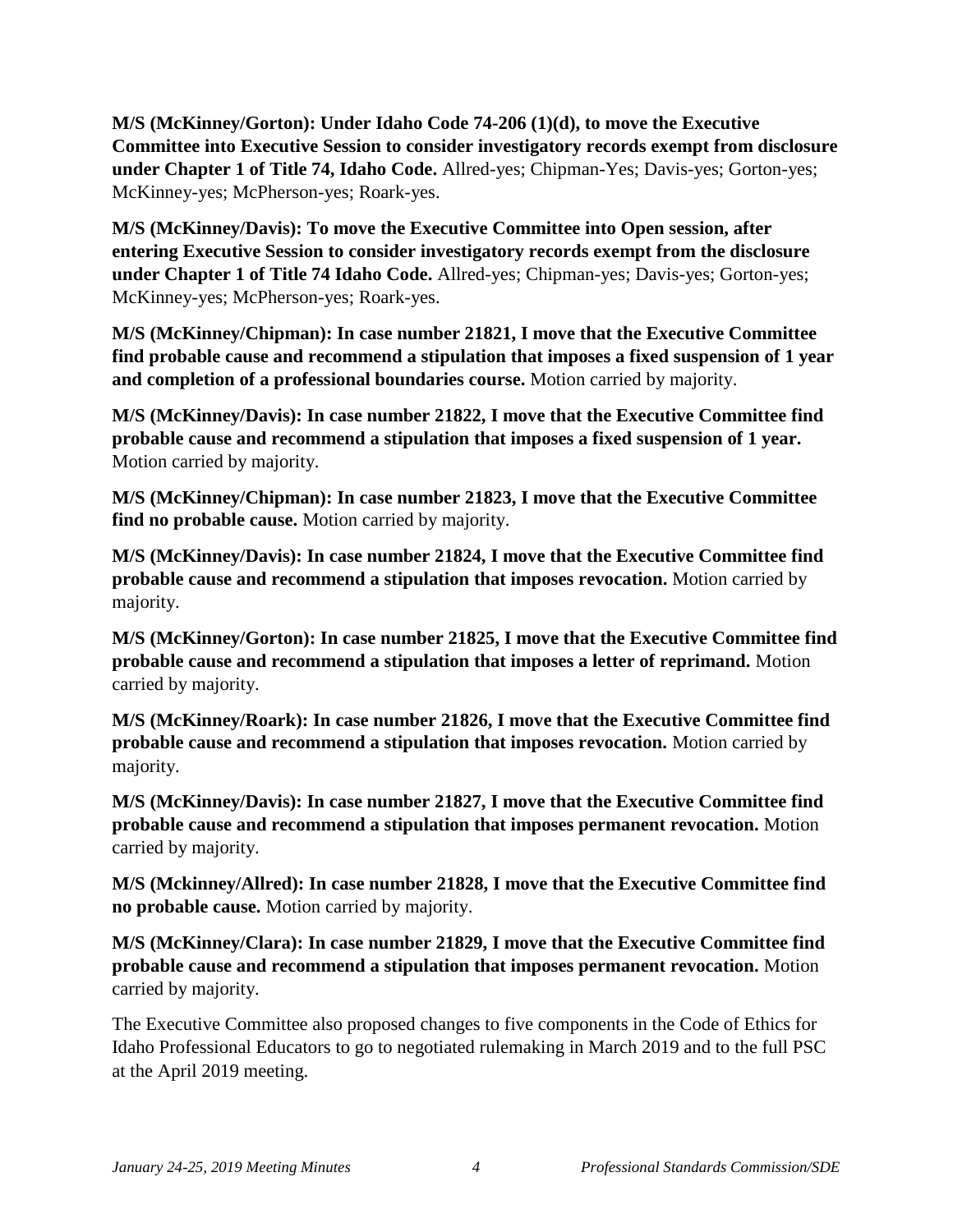**M/S (McKinney/Gorton): Under Idaho Code 74-206 (1)(d), to move the Executive Committee into Executive Session to consider investigatory records exempt from disclosure under Chapter 1 of Title 74, Idaho Code.** Allred-yes; Chipman-Yes; Davis-yes; Gorton-yes; McKinney-yes; McPherson-yes; Roark-yes.

**M/S (McKinney/Davis): To move the Executive Committee into Open session, after entering Executive Session to consider investigatory records exempt from the disclosure under Chapter 1 of Title 74 Idaho Code.** Allred-yes; Chipman-yes; Davis-yes; Gorton-yes; McKinney-yes; McPherson-yes; Roark-yes.

**M/S (McKinney/Chipman): In case number 21821, I move that the Executive Committee find probable cause and recommend a stipulation that imposes a fixed suspension of 1 year and completion of a professional boundaries course.** Motion carried by majority.

**M/S (McKinney/Davis): In case number 21822, I move that the Executive Committee find probable cause and recommend a stipulation that imposes a fixed suspension of 1 year.**  Motion carried by majority.

**M/S (McKinney/Chipman): In case number 21823, I move that the Executive Committee find no probable cause.** Motion carried by majority.

**M/S (McKinney/Davis): In case number 21824, I move that the Executive Committee find probable cause and recommend a stipulation that imposes revocation.** Motion carried by majority.

**M/S (McKinney/Gorton): In case number 21825, I move that the Executive Committee find probable cause and recommend a stipulation that imposes a letter of reprimand.** Motion carried by majority.

**M/S (McKinney/Roark): In case number 21826, I move that the Executive Committee find probable cause and recommend a stipulation that imposes revocation.** Motion carried by majority.

**M/S (McKinney/Davis): In case number 21827, I move that the Executive Committee find probable cause and recommend a stipulation that imposes permanent revocation.** Motion carried by majority.

**M/S (Mckinney/Allred): In case number 21828, I move that the Executive Committee find no probable cause.** Motion carried by majority.

**M/S (McKinney/Clara): In case number 21829, I move that the Executive Committee find probable cause and recommend a stipulation that imposes permanent revocation.** Motion carried by majority.

The Executive Committee also proposed changes to five components in the Code of Ethics for Idaho Professional Educators to go to negotiated rulemaking in March 2019 and to the full PSC at the April 2019 meeting.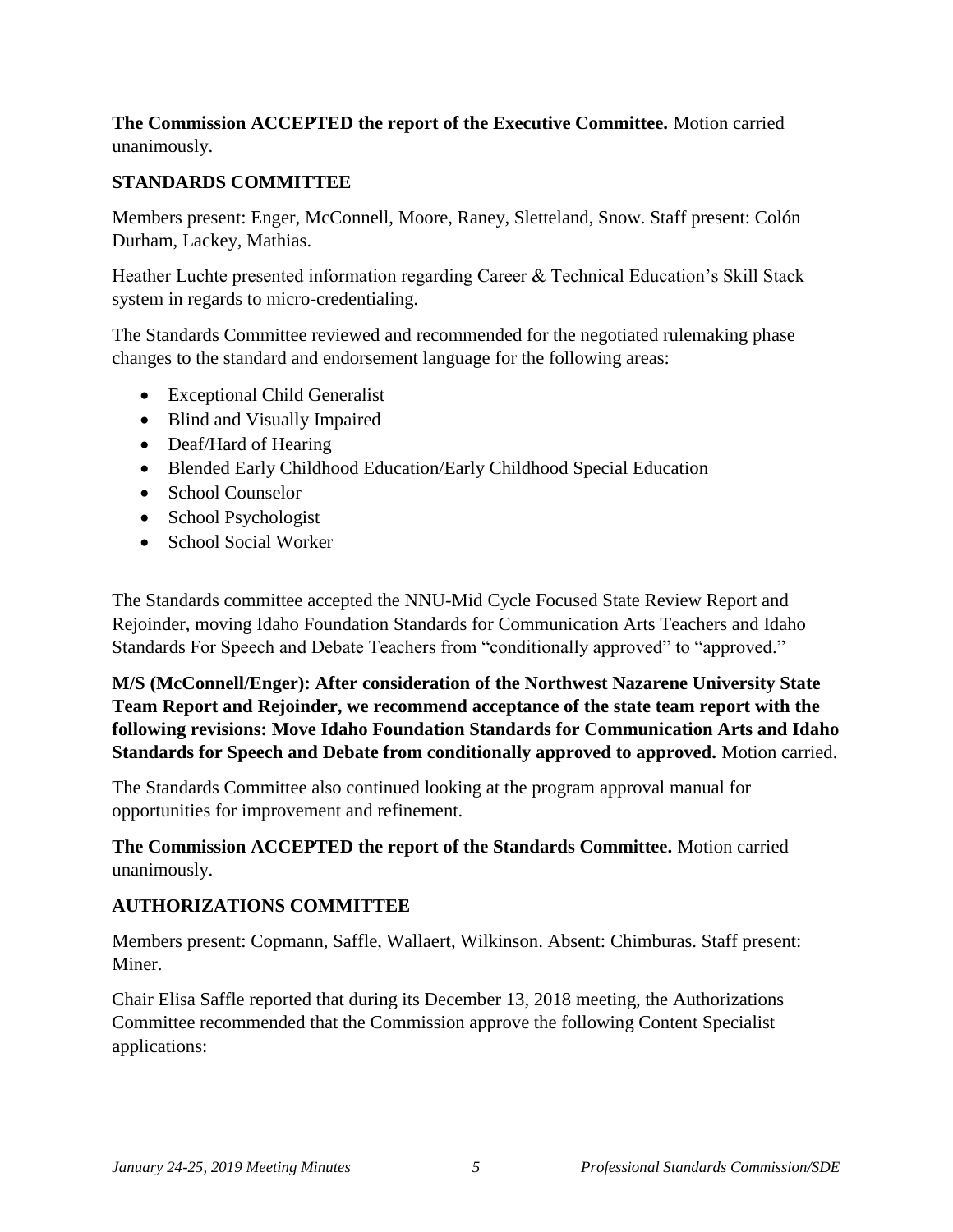### **The Commission ACCEPTED the report of the Executive Committee.** Motion carried unanimously.

# **STANDARDS COMMITTEE**

Members present: Enger, McConnell, Moore, Raney, Sletteland, Snow. Staff present: Colón Durham, Lackey, Mathias.

Heather Luchte presented information regarding Career & Technical Education's Skill Stack system in regards to micro-credentialing.

The Standards Committee reviewed and recommended for the negotiated rulemaking phase changes to the standard and endorsement language for the following areas:

- Exceptional Child Generalist
- Blind and Visually Impaired
- Deaf/Hard of Hearing
- Blended Early Childhood Education/Early Childhood Special Education
- School Counselor
- School Psychologist
- School Social Worker

The Standards committee accepted the NNU-Mid Cycle Focused State Review Report and Rejoinder, moving Idaho Foundation Standards for Communication Arts Teachers and Idaho Standards For Speech and Debate Teachers from "conditionally approved" to "approved."

**M/S (McConnell/Enger): After consideration of the Northwest Nazarene University State Team Report and Rejoinder, we recommend acceptance of the state team report with the following revisions: Move Idaho Foundation Standards for Communication Arts and Idaho Standards for Speech and Debate from conditionally approved to approved.** Motion carried.

The Standards Committee also continued looking at the program approval manual for opportunities for improvement and refinement.

**The Commission ACCEPTED the report of the Standards Committee.** Motion carried unanimously.

## **AUTHORIZATIONS COMMITTEE**

Members present: Copmann, Saffle, Wallaert, Wilkinson. Absent: Chimburas. Staff present: Miner.

Chair Elisa Saffle reported that during its December 13, 2018 meeting, the Authorizations Committee recommended that the Commission approve the following Content Specialist applications: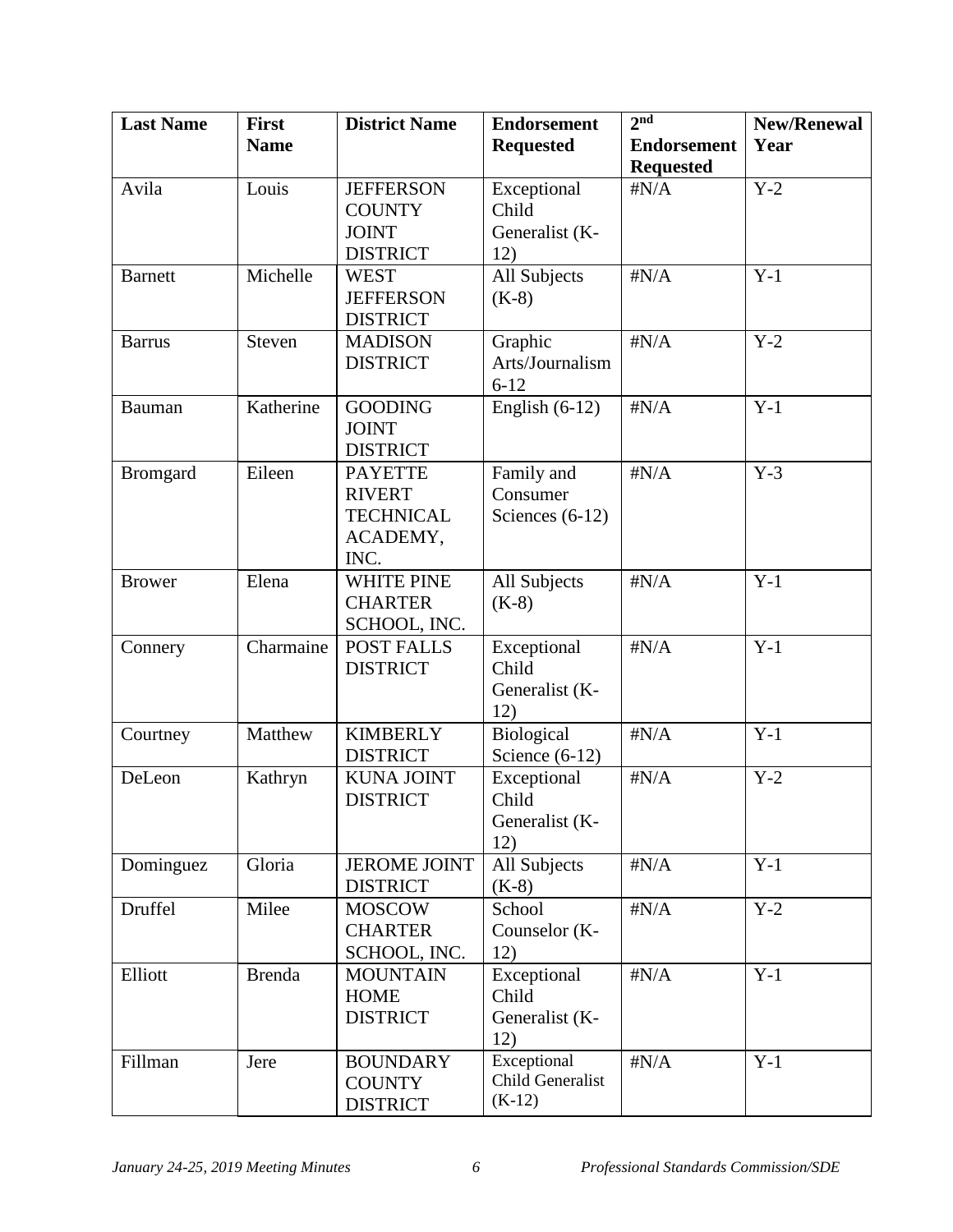| <b>Last Name</b> | <b>First</b>  | <b>District Name</b>                   | <b>Endorsement</b>      | 2 <sup>nd</sup>    | <b>New/Renewal</b> |
|------------------|---------------|----------------------------------------|-------------------------|--------------------|--------------------|
|                  | <b>Name</b>   |                                        | <b>Requested</b>        | <b>Endorsement</b> | Year               |
|                  |               |                                        |                         | <b>Requested</b>   |                    |
| Avila            | Louis         | <b>JEFFERSON</b>                       | Exceptional             | $\sharp N/A$       | $Y-2$              |
|                  |               | <b>COUNTY</b>                          | Child                   |                    |                    |
|                  |               | <b>JOINT</b>                           | Generalist (K-          |                    |                    |
|                  |               | <b>DISTRICT</b>                        | 12)                     |                    |                    |
| <b>Barnett</b>   | Michelle      | <b>WEST</b><br><b>JEFFERSON</b>        | All Subjects            | $\sharp N/A$       | $Y-1$              |
|                  |               | <b>DISTRICT</b>                        | $(K-8)$                 |                    |                    |
| <b>Barrus</b>    | Steven        | <b>MADISON</b>                         | Graphic                 | $\sharp N/A$       | $Y-2$              |
|                  |               | <b>DISTRICT</b>                        | Arts/Journalism         |                    |                    |
|                  |               |                                        | $6 - 12$                |                    |                    |
| Bauman           | Katherine     | <b>GOODING</b>                         | English $(6-12)$        | $\sharp N/A$       | $Y-1$              |
|                  |               | <b>JOINT</b>                           |                         |                    |                    |
|                  |               | <b>DISTRICT</b>                        |                         |                    |                    |
| <b>Bromgard</b>  | Eileen        | <b>PAYETTE</b>                         | Family and              | $\sharp N/A$       | $Y-3$              |
|                  |               | <b>RIVERT</b>                          | Consumer                |                    |                    |
|                  |               | <b>TECHNICAL</b>                       | Sciences $(6-12)$       |                    |                    |
|                  |               | ACADEMY,                               |                         |                    |                    |
|                  |               | INC.                                   |                         |                    |                    |
| <b>Brower</b>    | Elena         | <b>WHITE PINE</b><br><b>CHARTER</b>    | All Subjects<br>$(K-8)$ | $\sharp N/A$       | $Y-1$              |
|                  |               | SCHOOL, INC.                           |                         |                    |                    |
| Connery          | Charmaine     | <b>POST FALLS</b>                      | Exceptional             | $\sharp N/A$       | $Y-1$              |
|                  |               | <b>DISTRICT</b>                        | Child                   |                    |                    |
|                  |               |                                        | Generalist (K-          |                    |                    |
|                  |               |                                        | 12)                     |                    |                    |
| Courtney         | Matthew       | <b>KIMBERLY</b>                        | Biological              | $\sharp N/A$       | $Y-1$              |
|                  |               | <b>DISTRICT</b>                        | Science $(6-12)$        |                    |                    |
| DeLeon           | Kathryn       | <b>KUNA JOINT</b>                      | Exceptional             | $\sharp N/A$       | $Y-2$              |
|                  |               | <b>DISTRICT</b>                        | Child                   |                    |                    |
|                  |               |                                        | Generalist (K-          |                    |                    |
|                  |               |                                        | 12)                     |                    |                    |
| Dominguez        | Gloria        | <b>JEROME JOINT</b><br><b>DISTRICT</b> | All Subjects<br>$(K-8)$ | $\sharp N/A$       | $Y-1$              |
| Druffel          | Milee         | <b>MOSCOW</b>                          | School                  | $\sharp N/A$       | $Y-2$              |
|                  |               | <b>CHARTER</b>                         | Counselor (K-           |                    |                    |
|                  |               | SCHOOL, INC.                           | 12)                     |                    |                    |
| Elliott          | <b>Brenda</b> | <b>MOUNTAIN</b>                        | Exceptional             | $\sharp N/A$       | $Y-1$              |
|                  |               | <b>HOME</b>                            | Child                   |                    |                    |
|                  |               | <b>DISTRICT</b>                        | Generalist (K-          |                    |                    |
|                  |               |                                        | 12)                     |                    |                    |
| Fillman          | Jere          | <b>BOUNDARY</b>                        | Exceptional             | $\sharp N/A$       | $Y-1$              |
|                  |               | <b>COUNTY</b>                          | Child Generalist        |                    |                    |
|                  |               | <b>DISTRICT</b>                        | $(K-12)$                |                    |                    |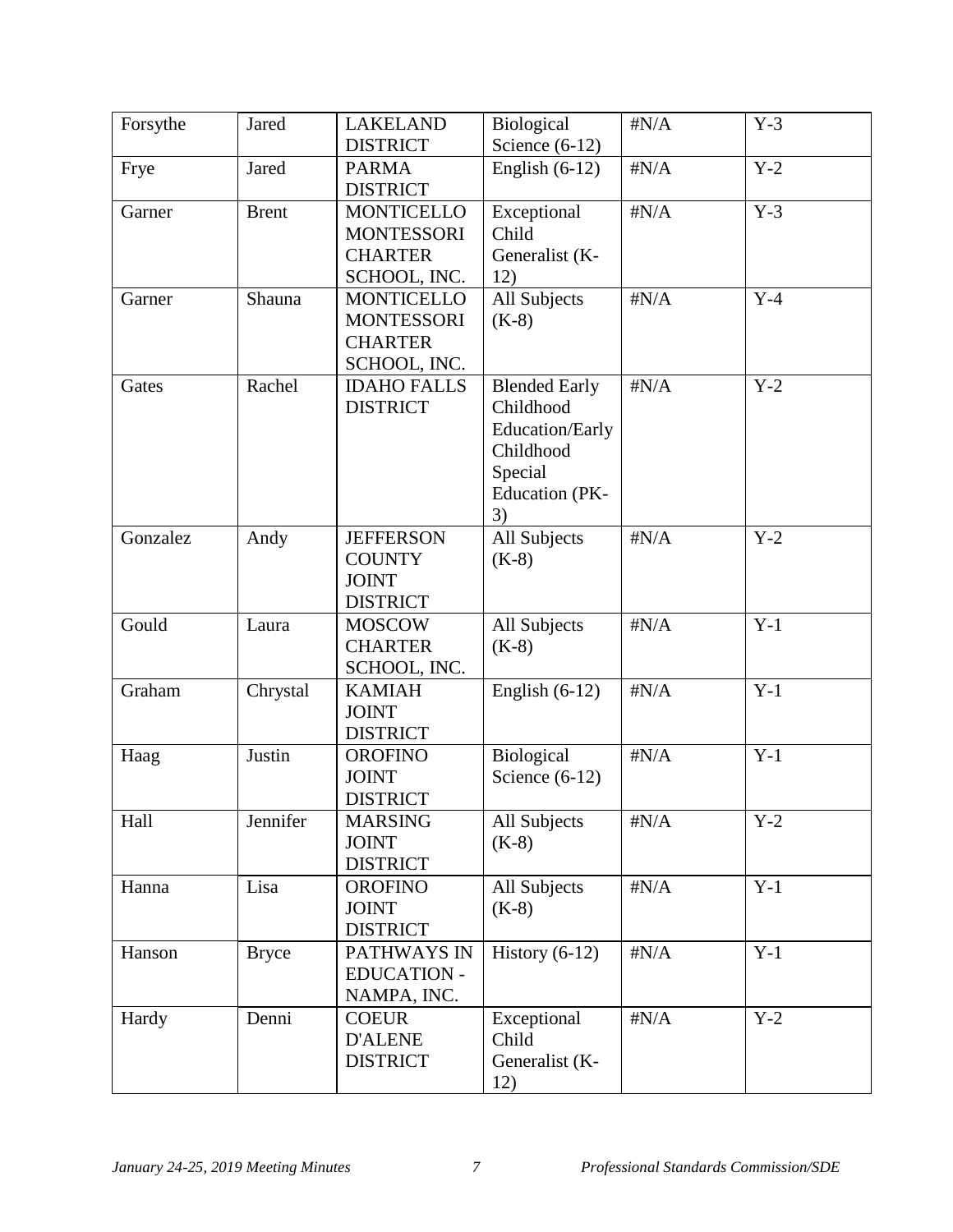| Forsythe | Jared        | <b>LAKELAND</b>                 | Biological            | $\sharp N/A$ | $Y-3$ |
|----------|--------------|---------------------------------|-----------------------|--------------|-------|
|          |              |                                 |                       |              |       |
|          |              | <b>DISTRICT</b>                 | Science $(6-12)$      |              |       |
| Frye     | Jared        | <b>PARMA</b><br><b>DISTRICT</b> | English $(6-12)$      | $\sharp N/A$ | $Y-2$ |
| Garner   | <b>Brent</b> | <b>MONTICELLO</b>               | Exceptional           | $\sharp N/A$ | $Y-3$ |
|          |              | <b>MONTESSORI</b>               | Child                 |              |       |
|          |              | <b>CHARTER</b>                  | Generalist (K-        |              |       |
|          |              | SCHOOL, INC.                    | 12)                   |              |       |
| Garner   | Shauna       | <b>MONTICELLO</b>               | All Subjects          | $\sharp N/A$ | $Y-4$ |
|          |              | <b>MONTESSORI</b>               | $(K-8)$               |              |       |
|          |              | <b>CHARTER</b>                  |                       |              |       |
|          |              |                                 |                       |              |       |
|          |              | SCHOOL, INC.                    |                       |              |       |
| Gates    | Rachel       | <b>IDAHO FALLS</b>              | <b>Blended Early</b>  | $\sharp N/A$ | $Y-2$ |
|          |              | <b>DISTRICT</b>                 | Childhood             |              |       |
|          |              |                                 | Education/Early       |              |       |
|          |              |                                 | Childhood             |              |       |
|          |              |                                 | Special               |              |       |
|          |              |                                 | <b>Education</b> (PK- |              |       |
|          |              |                                 | 3)                    |              |       |
| Gonzalez | Andy         | <b>JEFFERSON</b>                | All Subjects          | $\sharp N/A$ | $Y-2$ |
|          |              | <b>COUNTY</b>                   | $(K-8)$               |              |       |
|          |              | <b>JOINT</b>                    |                       |              |       |
|          |              | <b>DISTRICT</b>                 |                       |              |       |
| Gould    | Laura        | <b>MOSCOW</b>                   | All Subjects          | $\sharp N/A$ | $Y-1$ |
|          |              | <b>CHARTER</b>                  | $(K-8)$               |              |       |
|          |              | SCHOOL, INC.                    |                       |              |       |
| Graham   | Chrystal     | <b>KAMIAH</b>                   | English $(6-12)$      | $\sharp N/A$ | $Y-1$ |
|          |              | <b>JOINT</b>                    |                       |              |       |
|          |              | <b>DISTRICT</b>                 |                       |              |       |
| Haag     | Justin       | <b>OROFINO</b>                  | Biological            | $\sharp N/A$ | $Y-1$ |
|          |              | <b>JOINT</b>                    | Science $(6-12)$      |              |       |
|          |              | <b>DISTRICT</b>                 |                       |              |       |
| Hall     | Jennifer     | <b>MARSING</b>                  | All Subjects          | $\sharp N/A$ | $Y-2$ |
|          |              | <b>JOINT</b>                    | $(K-8)$               |              |       |
|          |              | <b>DISTRICT</b>                 |                       |              |       |
| Hanna    | Lisa         | <b>OROFINO</b>                  | All Subjects          | $\sharp N/A$ | $Y-1$ |
|          |              | <b>JOINT</b>                    | $(K-8)$               |              |       |
|          |              | <b>DISTRICT</b>                 |                       |              |       |
|          |              |                                 |                       |              |       |
| Hanson   | <b>Bryce</b> | PATHWAYS IN                     | History $(6-12)$      | $\sharp N/A$ | $Y-1$ |
|          |              | <b>EDUCATION -</b>              |                       |              |       |
|          |              | NAMPA, INC.                     |                       |              |       |
| Hardy    | Denni        | <b>COEUR</b>                    | Exceptional           | $\sharp N/A$ | $Y-2$ |
|          |              | <b>D'ALENE</b>                  | Child                 |              |       |
|          |              | <b>DISTRICT</b>                 | Generalist (K-        |              |       |
|          |              |                                 | 12)                   |              |       |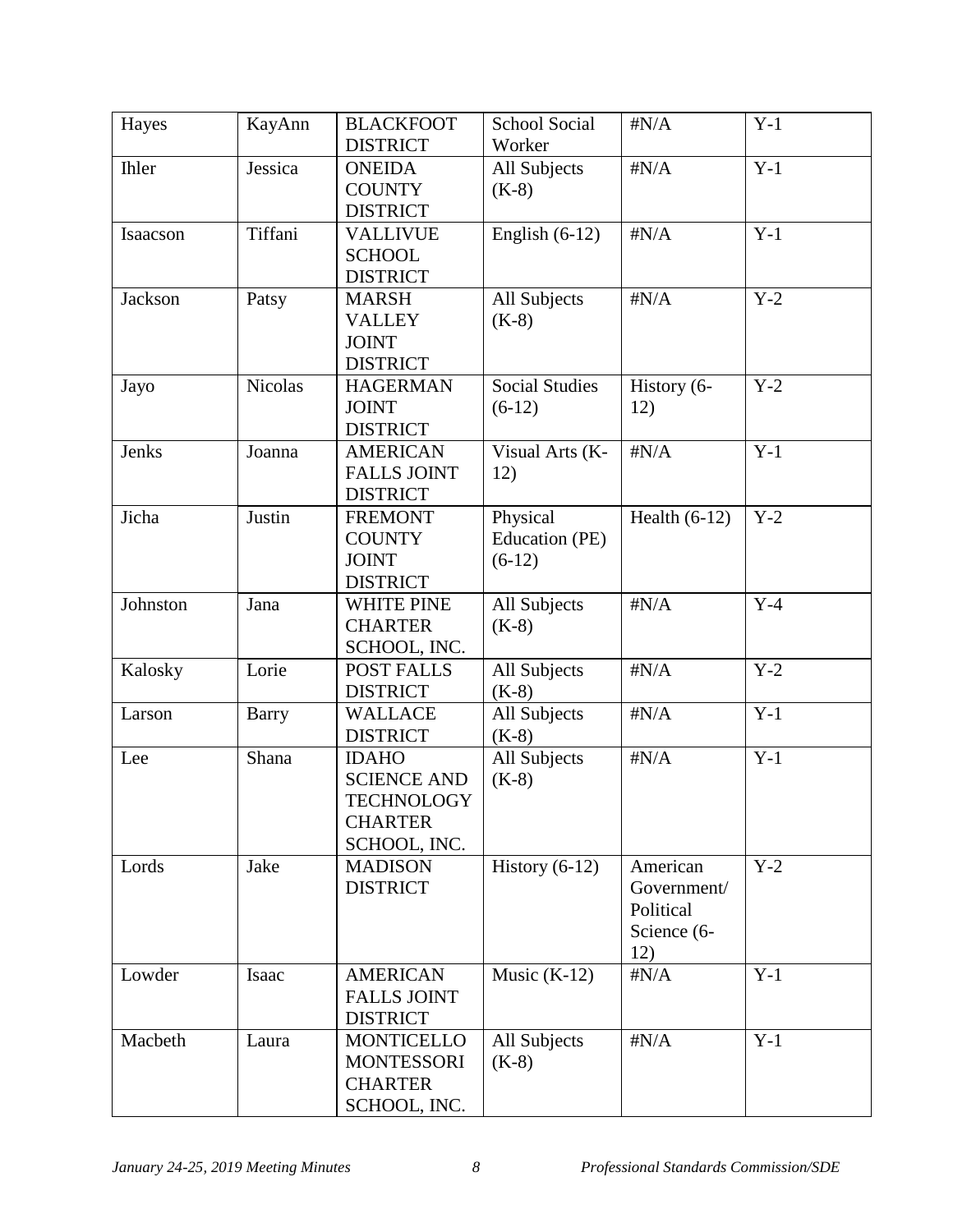| Hayes        | KayAnn         | <b>BLACKFOOT</b><br><b>DISTRICT</b>                                                       | <b>School Social</b><br>Worker         | $\sharp N/A$                                               | $Y-1$ |
|--------------|----------------|-------------------------------------------------------------------------------------------|----------------------------------------|------------------------------------------------------------|-------|
| <b>Ihler</b> | Jessica        | <b>ONEIDA</b><br><b>COUNTY</b><br><b>DISTRICT</b>                                         | All Subjects<br>$(K-8)$                | $\sharp N/A$                                               | $Y-1$ |
| Isaacson     | Tiffani        | <b>VALLIVUE</b><br><b>SCHOOL</b><br><b>DISTRICT</b>                                       | English $(6-12)$                       | $\sharp N/A$                                               | $Y-1$ |
| Jackson      | Patsy          | <b>MARSH</b><br><b>VALLEY</b><br><b>JOINT</b><br><b>DISTRICT</b>                          | All Subjects<br>$(K-8)$                | $\sharp N/A$                                               | $Y-2$ |
| Jayo         | <b>Nicolas</b> | <b>HAGERMAN</b><br><b>JOINT</b><br><b>DISTRICT</b>                                        | <b>Social Studies</b><br>$(6-12)$      | History (6-<br>12)                                         | $Y-2$ |
| Jenks        | Joanna         | <b>AMERICAN</b><br><b>FALLS JOINT</b><br><b>DISTRICT</b>                                  | Visual Arts (K-<br>12)                 | $\sharp N/A$                                               | $Y-1$ |
| Jicha        | Justin         | <b>FREMONT</b><br><b>COUNTY</b><br><b>JOINT</b><br><b>DISTRICT</b>                        | Physical<br>Education (PE)<br>$(6-12)$ | Health $(6-12)$                                            | $Y-2$ |
| Johnston     | Jana           | <b>WHITE PINE</b><br><b>CHARTER</b><br>SCHOOL, INC.                                       | All Subjects<br>$(K-8)$                | $\sharp N/A$                                               | $Y-4$ |
| Kalosky      | Lorie          | <b>POST FALLS</b><br><b>DISTRICT</b>                                                      | All Subjects<br>$(K-8)$                | $\sharp N/A$                                               | $Y-2$ |
| Larson       | <b>Barry</b>   | <b>WALLACE</b><br><b>DISTRICT</b>                                                         | All Subjects<br>$(K-8)$                | $\sharp N/A$                                               | $Y-1$ |
| Lee          | Shana          | <b>IDAHO</b><br><b>SCIENCE AND</b><br><b>TECHNOLOGY</b><br><b>CHARTER</b><br>SCHOOL, INC. | All Subjects<br>$(K-8)$                | $\sharp N/A$                                               | $Y-1$ |
| Lords        | Jake           | <b>MADISON</b><br><b>DISTRICT</b>                                                         | History $(6-12)$                       | American<br>Government/<br>Political<br>Science (6-<br>12) | $Y-2$ |
| Lowder       | Isaac          | <b>AMERICAN</b><br><b>FALLS JOINT</b><br><b>DISTRICT</b>                                  | Music $(K-12)$                         | $\sharp N/A$                                               | $Y-1$ |
| Macbeth      | Laura          | <b>MONTICELLO</b><br><b>MONTESSORI</b><br><b>CHARTER</b><br>SCHOOL, INC.                  | All Subjects<br>$(K-8)$                | $\sharp N/A$                                               | $Y-1$ |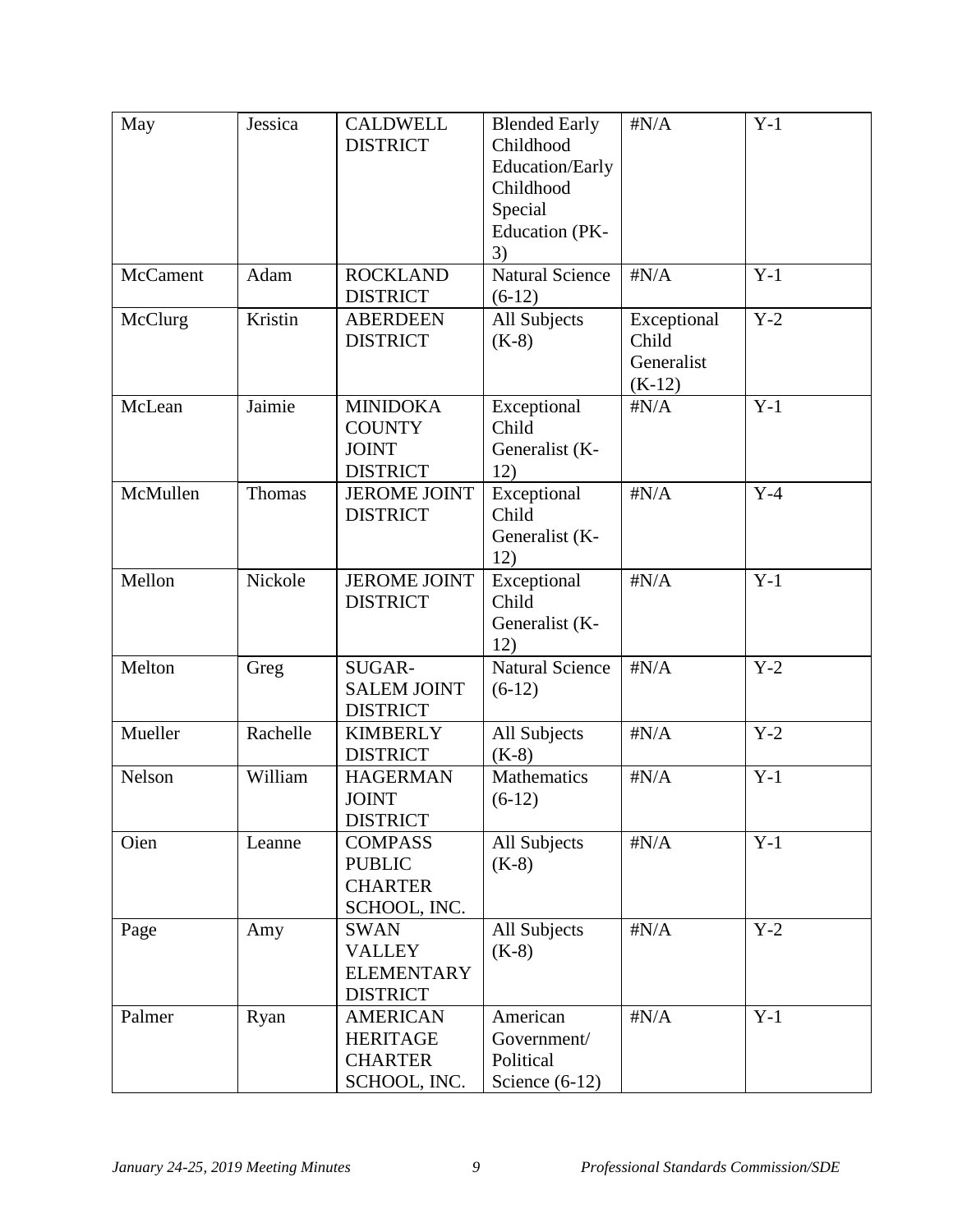| May      | Jessica  | <b>CALDWELL</b><br><b>DISTRICT</b>                                   | <b>Blended Early</b><br>Childhood<br>Education/Early<br>Childhood<br>Special<br><b>Education</b> (PK-<br>3) | $\sharp N/A$                                   | $Y-1$ |
|----------|----------|----------------------------------------------------------------------|-------------------------------------------------------------------------------------------------------------|------------------------------------------------|-------|
| McCament | Adam     | <b>ROCKLAND</b><br><b>DISTRICT</b>                                   | <b>Natural Science</b><br>$(6-12)$                                                                          | $\sharp N/A$                                   | $Y-1$ |
| McClurg  | Kristin  | <b>ABERDEEN</b><br><b>DISTRICT</b>                                   | All Subjects<br>$(K-8)$                                                                                     | Exceptional<br>Child<br>Generalist<br>$(K-12)$ | $Y-2$ |
| McLean   | Jaimie   | <b>MINIDOKA</b><br><b>COUNTY</b><br><b>JOINT</b><br><b>DISTRICT</b>  | Exceptional<br>Child<br>Generalist (K-<br>12)                                                               | $\sharp N/A$                                   | $Y-1$ |
| McMullen | Thomas   | <b>JEROME JOINT</b><br><b>DISTRICT</b>                               | Exceptional<br>Child<br>Generalist (K-<br>12)                                                               | $\sharp N/A$                                   | $Y-4$ |
| Mellon   | Nickole  | <b>JEROME JOINT</b><br><b>DISTRICT</b>                               | Exceptional<br>Child<br>Generalist (K-<br>12)                                                               | $\sharp N/A$                                   | $Y-1$ |
| Melton   | Greg     | SUGAR-<br><b>SALEM JOINT</b><br><b>DISTRICT</b>                      | <b>Natural Science</b><br>$(6-12)$                                                                          | $\sharp N/A$                                   | $Y-2$ |
| Mueller  | Rachelle | <b>KIMBERLY</b><br><b>DISTRICT</b>                                   | All Subjects<br>$(K-8)$                                                                                     | $\sharp N/A$                                   | $Y-2$ |
| Nelson   | William  | <b>HAGERMAN</b><br><b>JOINT</b><br><b>DISTRICT</b>                   | Mathematics<br>$(6-12)$                                                                                     | $\sharp N/A$                                   | $Y-1$ |
| Oien     | Leanne   | <b>COMPASS</b><br><b>PUBLIC</b><br><b>CHARTER</b><br>SCHOOL, INC.    | All Subjects<br>$(K-8)$                                                                                     | $\sharp N/A$                                   | $Y-1$ |
| Page     | Amy      | <b>SWAN</b><br><b>VALLEY</b><br><b>ELEMENTARY</b><br><b>DISTRICT</b> | All Subjects<br>$(K-8)$                                                                                     | $\sharp N/A$                                   | $Y-2$ |
| Palmer   | Ryan     | <b>AMERICAN</b><br><b>HERITAGE</b><br><b>CHARTER</b><br>SCHOOL, INC. | American<br>Government/<br>Political<br>Science $(6-12)$                                                    | $\sharp N/A$                                   | $Y-1$ |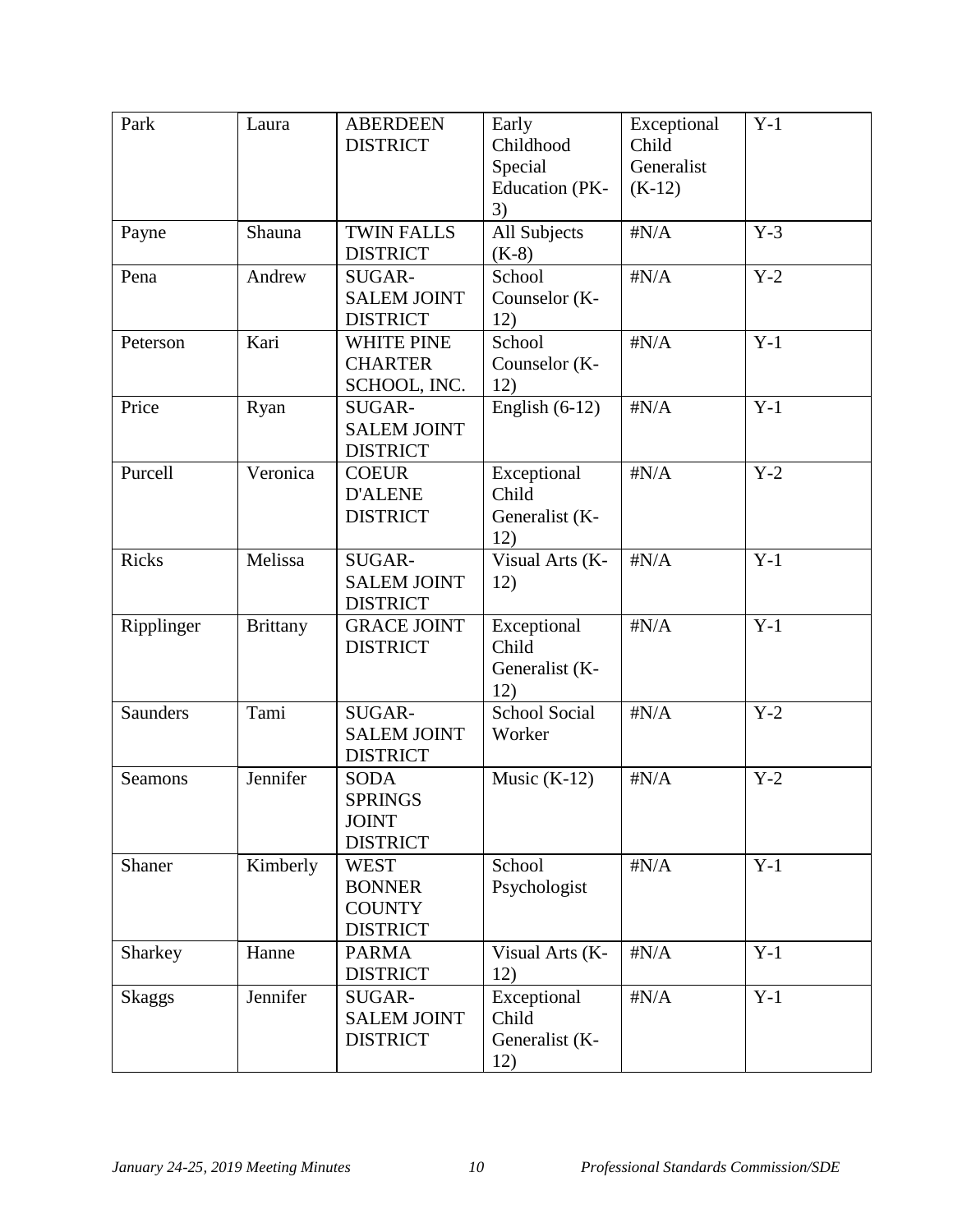| Park          | Laura           | <b>ABERDEEN</b><br><b>DISTRICT</b>                               | Early<br>Childhood<br>Special<br>Education (PK-<br>3) | Exceptional<br>Child<br>Generalist<br>$(K-12)$ | $Y-1$ |
|---------------|-----------------|------------------------------------------------------------------|-------------------------------------------------------|------------------------------------------------|-------|
| Payne         | Shauna          | <b>TWIN FALLS</b><br><b>DISTRICT</b>                             | All Subjects<br>$(K-8)$                               | $\sharp N/A$                                   | $Y-3$ |
| Pena          | Andrew          | SUGAR-<br><b>SALEM JOINT</b><br><b>DISTRICT</b>                  | School<br>Counselor (K-<br>12)                        | $\sharp N/A$                                   | $Y-2$ |
| Peterson      | Kari            | <b>WHITE PINE</b><br><b>CHARTER</b><br>SCHOOL, INC.              | School<br>Counselor (K-<br>12)                        | $\sharp N/A$                                   | $Y-1$ |
| Price         | Ryan            | SUGAR-<br><b>SALEM JOINT</b><br><b>DISTRICT</b>                  | English $(6-12)$                                      | $\sharp N/A$                                   | $Y-1$ |
| Purcell       | Veronica        | <b>COEUR</b><br><b>D'ALENE</b><br><b>DISTRICT</b>                | Exceptional<br>Child<br>Generalist (K-<br>12)         | $\sharp N/A$                                   | $Y-2$ |
| <b>Ricks</b>  | Melissa         | SUGAR-<br><b>SALEM JOINT</b><br><b>DISTRICT</b>                  | Visual Arts (K-<br>12)                                | $\sharp N/A$                                   | $Y-1$ |
| Ripplinger    | <b>Brittany</b> | <b>GRACE JOINT</b><br><b>DISTRICT</b>                            | Exceptional<br>Child<br>Generalist (K-<br>12)         | $\sharp N/A$                                   | $Y-1$ |
| Saunders      | Tami            | SUGAR-<br><b>SALEM JOINT</b><br><b>DISTRICT</b>                  | <b>School Social</b><br>Worker                        | $\sharp N/A$                                   | $Y-2$ |
| Seamons       | Jennifer        | <b>SODA</b><br><b>SPRINGS</b><br><b>JOINT</b><br><b>DISTRICT</b> | Music $(K-12)$                                        | $\sharp N/A$                                   | $Y-2$ |
| Shaner        | Kimberly        | <b>WEST</b><br><b>BONNER</b><br><b>COUNTY</b><br><b>DISTRICT</b> | School<br>Psychologist                                | $\sharp N/A$                                   | $Y-1$ |
| Sharkey       | Hanne           | <b>PARMA</b><br><b>DISTRICT</b>                                  | Visual Arts (K-<br>12)                                | $\sharp N/A$                                   | $Y-1$ |
| <b>Skaggs</b> | Jennifer        | SUGAR-<br><b>SALEM JOINT</b><br><b>DISTRICT</b>                  | Exceptional<br>Child<br>Generalist (K-<br>12)         | $\sharp N/A$                                   | $Y-1$ |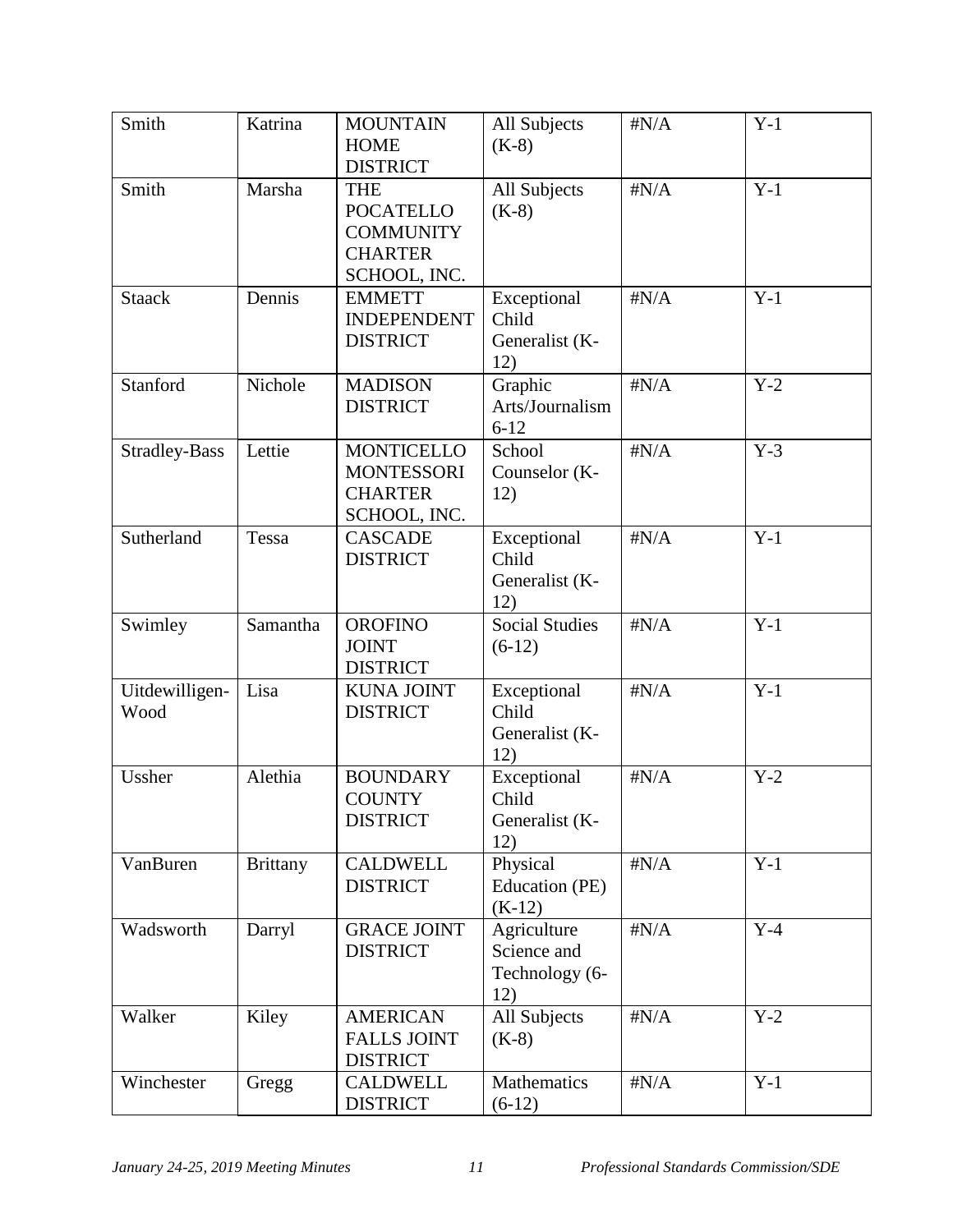| Smith                  | Katrina         | <b>MOUNTAIN</b><br><b>HOME</b><br><b>DISTRICT</b>                                    | All Subjects<br>$(K-8)$                             | $\sharp N/A$ | $Y-1$ |
|------------------------|-----------------|--------------------------------------------------------------------------------------|-----------------------------------------------------|--------------|-------|
| Smith                  | Marsha          | <b>THE</b><br><b>POCATELLO</b><br><b>COMMUNITY</b><br><b>CHARTER</b><br>SCHOOL, INC. | All Subjects<br>$(K-8)$                             | $\sharp N/A$ | $Y-1$ |
| <b>Staack</b>          | Dennis          | <b>EMMETT</b><br><b>INDEPENDENT</b><br><b>DISTRICT</b>                               | Exceptional<br>Child<br>Generalist (K-<br>12)       | $\sharp N/A$ | $Y-1$ |
| Stanford               | Nichole         | <b>MADISON</b><br><b>DISTRICT</b>                                                    | Graphic<br>Arts/Journalism<br>$6 - 12$              | $\sharp N/A$ | $Y-2$ |
| <b>Stradley-Bass</b>   | Lettie          | <b>MONTICELLO</b><br><b>MONTESSORI</b><br><b>CHARTER</b><br>SCHOOL, INC.             | School<br>Counselor (K-<br>12)                      | $\sharp N/A$ | $Y-3$ |
| Sutherland             | Tessa           | <b>CASCADE</b><br><b>DISTRICT</b>                                                    | Exceptional<br>Child<br>Generalist (K-<br>12)       | $\sharp N/A$ | $Y-1$ |
| Swimley                | Samantha        | <b>OROFINO</b><br><b>JOINT</b><br><b>DISTRICT</b>                                    | <b>Social Studies</b><br>$(6-12)$                   | $\sharp N/A$ | $Y-1$ |
| Uitdewilligen-<br>Wood | Lisa            | <b>KUNA JOINT</b><br><b>DISTRICT</b>                                                 | Exceptional<br>Child<br>Generalist (K-<br>12)       | $\sharp N/A$ | $Y-1$ |
| Ussher                 | Alethia         | <b>BOUNDARY</b><br><b>COUNTY</b><br><b>DISTRICT</b>                                  | Exceptional<br>Child<br>Generalist (K-<br>12)       | $\sharp N/A$ | $Y-2$ |
| VanBuren               | <b>Brittany</b> | <b>CALDWELL</b><br><b>DISTRICT</b>                                                   | Physical<br>Education (PE)<br>$(K-12)$              | $\sharp N/A$ | $Y-1$ |
| Wadsworth              | Darryl          | <b>GRACE JOINT</b><br><b>DISTRICT</b>                                                | Agriculture<br>Science and<br>Technology (6-<br>12) | $\sharp N/A$ | $Y-4$ |
| Walker                 | Kiley           | <b>AMERICAN</b><br><b>FALLS JOINT</b><br><b>DISTRICT</b>                             | All Subjects<br>$(K-8)$                             | $\sharp N/A$ | $Y-2$ |
| Winchester             | Gregg           | <b>CALDWELL</b><br><b>DISTRICT</b>                                                   | Mathematics<br>$(6-12)$                             | $\sharp N/A$ | $Y-1$ |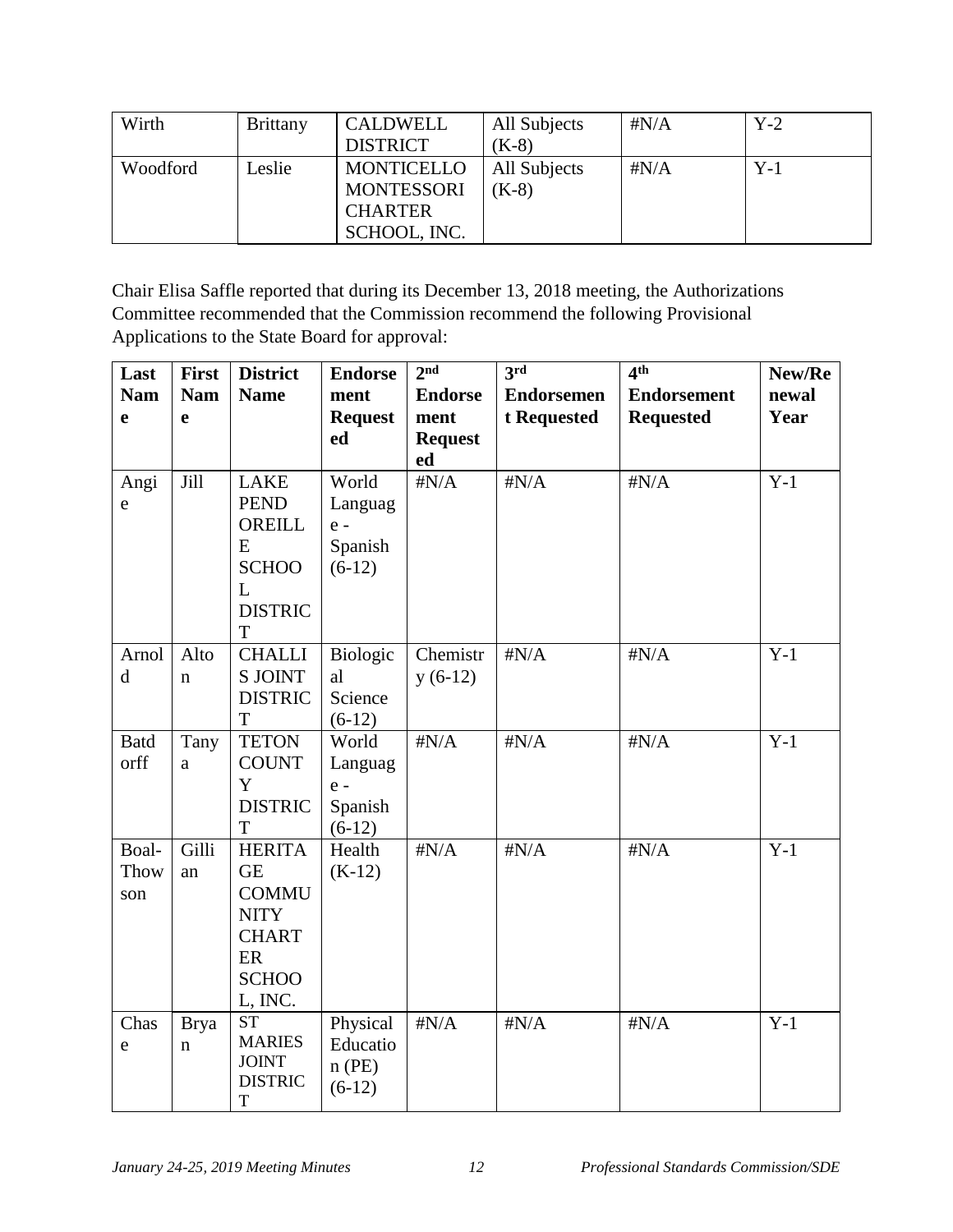| Wirth    | <b>Brittany</b> | CALDWELL          | All Subjects | # $N/A$      | $Y-2$ |
|----------|-----------------|-------------------|--------------|--------------|-------|
|          |                 | <b>DISTRICT</b>   | $(K-8)$      |              |       |
| Woodford | Leslie          | <b>MONTICELLO</b> | All Subjects | $\sharp N/A$ | $Y-1$ |
|          |                 | <b>MONTESSORI</b> | $(K-8)$      |              |       |
|          |                 | <b>CHARTER</b>    |              |              |       |
|          |                 | SCHOOL, INC.      |              |              |       |

Chair Elisa Saffle reported that during its December 13, 2018 meeting, the Authorizations Committee recommended that the Commission recommend the following Provisional Applications to the State Board for approval:

| Last        | First       | <b>District</b>                | <b>Endorse</b>       | 2 <sup>nd</sup> | 3rd               | 4 <sup>th</sup>    | New/Re |
|-------------|-------------|--------------------------------|----------------------|-----------------|-------------------|--------------------|--------|
| <b>Nam</b>  | <b>Nam</b>  | <b>Name</b>                    | ment                 | <b>Endorse</b>  | <b>Endorsemen</b> | <b>Endorsement</b> | newal  |
| e           | e           |                                | <b>Request</b>       | ment            | t Requested       | <b>Requested</b>   | Year   |
|             |             |                                | ed                   | <b>Request</b>  |                   |                    |        |
|             |             |                                |                      | ed              |                   |                    |        |
| Angi        | Jill        | LAKE                           | World                | $\sharp N/A$    | $\sharp N/A$      | $\sharp N/A$       | $Y-1$  |
| e           |             | <b>PEND</b>                    | Languag              |                 |                   |                    |        |
|             |             | OREILL                         | $e -$                |                 |                   |                    |        |
|             |             | E                              | Spanish              |                 |                   |                    |        |
|             |             | <b>SCHOO</b>                   | $(6-12)$             |                 |                   |                    |        |
|             |             | L                              |                      |                 |                   |                    |        |
|             |             | <b>DISTRIC</b>                 |                      |                 |                   |                    |        |
|             |             | T                              |                      |                 |                   |                    |        |
| Arnol       | Alto        | <b>CHALLI</b>                  | Biologic             | Chemistr        | $\sharp N/A$      | $\sharp N/A$       | $Y-1$  |
| $\mathbf d$ | $\mathbf n$ | <b>S JOINT</b>                 | al                   | $y(6-12)$       |                   |                    |        |
|             |             | <b>DISTRIC</b>                 | Science              |                 |                   |                    |        |
|             |             | T                              | $(6-12)$             |                 |                   |                    |        |
| <b>Batd</b> | Tany        | <b>TETON</b>                   | World                | $\sharp N/A$    | $\sharp N/A$      | $\sharp N/A$       | $Y-1$  |
| orff        | a           | <b>COUNT</b>                   | Languag              |                 |                   |                    |        |
|             |             | Y                              | $e -$                |                 |                   |                    |        |
|             |             | <b>DISTRIC</b>                 | Spanish              |                 |                   |                    |        |
|             |             | T                              | $(6-12)$             |                 |                   |                    |        |
| Boal-       | Gilli       | <b>HERITA</b>                  | Health               | $\sharp N/A$    | $\sharp N/A$      | $\sharp N/A$       | $Y-1$  |
| Thow        | an          | <b>GE</b>                      | $(K-12)$             |                 |                   |                    |        |
| son         |             | <b>COMMU</b>                   |                      |                 |                   |                    |        |
|             |             | <b>NITY</b>                    |                      |                 |                   |                    |        |
|             |             | <b>CHART</b>                   |                      |                 |                   |                    |        |
|             |             | ER                             |                      |                 |                   |                    |        |
|             |             | <b>SCHOO</b>                   |                      |                 |                   |                    |        |
|             |             | L, INC.                        |                      |                 |                   |                    |        |
| Chas        | <b>Brya</b> | <b>ST</b>                      | Physical             | $\sharp N/A$    | $\sharp N/A$      | $\sharp N/A$       | $Y-1$  |
| e           | n           | <b>MARIES</b>                  | Educatio             |                 |                   |                    |        |
|             |             |                                |                      |                 |                   |                    |        |
|             |             | <b>JOINT</b><br><b>DISTRIC</b> | $n$ (PE)<br>$(6-12)$ |                 |                   |                    |        |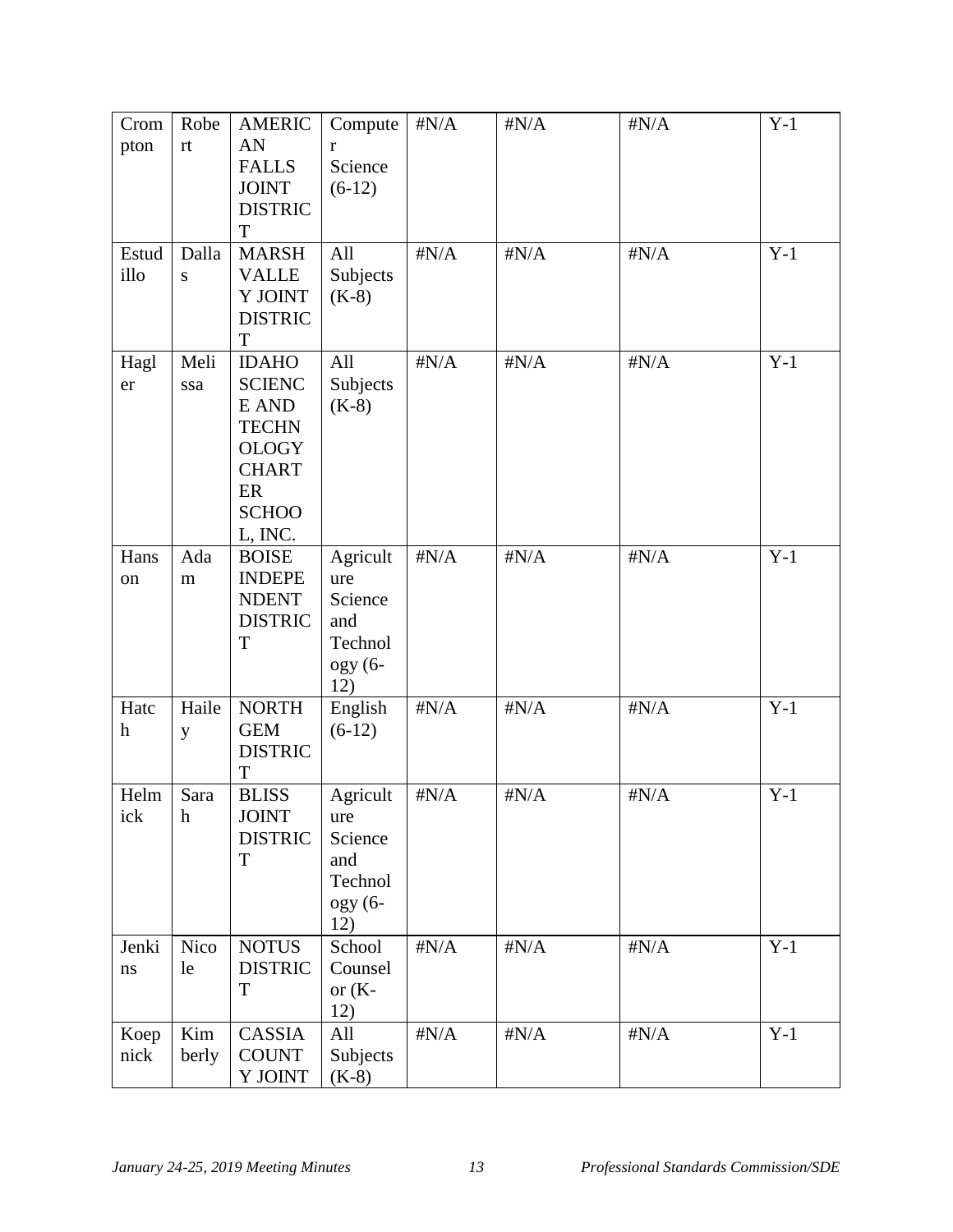| Crom<br>pton<br>Estud    | Robe<br>$\mathop{\text{rt}}$<br>Dalla | <b>AMERIC</b><br>AN<br><b>FALLS</b><br><b>JOINT</b><br><b>DISTRIC</b><br>T<br><b>MARSH</b>                              | Compute<br>r<br>Science<br>$(6-12)$<br>All                       | $\#N/A$<br>$\sharp N/A$ | $\sharp N/A$<br>$\sharp N/A$ | $\sharp N/A$<br>$\sharp N/A$ | $Y-1$<br>$Y-1$ |
|--------------------------|---------------------------------------|-------------------------------------------------------------------------------------------------------------------------|------------------------------------------------------------------|-------------------------|------------------------------|------------------------------|----------------|
| illo                     | ${\bf S}$                             | <b>VALLE</b><br>Y JOINT<br><b>DISTRIC</b><br>T                                                                          | Subjects<br>$(K-8)$                                              |                         |                              |                              |                |
| Hagl<br>er               | Meli<br>ssa                           | <b>IDAHO</b><br><b>SCIENC</b><br>E AND<br><b>TECHN</b><br><b>OLOGY</b><br><b>CHART</b><br>ER<br><b>SCHOO</b><br>L, INC. | All<br>Subjects<br>$(K-8)$                                       | $\sharp N/A$            | $\sharp N/A$                 | $\sharp N/A$                 | $Y-1$          |
| Hans<br>on               | Ada<br>m                              | <b>BOISE</b><br><b>INDEPE</b><br><b>NDENT</b><br><b>DISTRIC</b><br>T                                                    | Agricult<br>ure<br>Science<br>and<br>Technol<br>$ogy (6-$<br>12) | $\sharp N/A$            | $\sharp N/A$                 | $\sharp N/A$                 | $Y-1$          |
| Hatc<br>$\boldsymbol{h}$ | Haile<br>y                            | <b>NORTH</b><br><b>GEM</b><br><b>DISTRIC</b><br>T                                                                       | English<br>$(6-12)$                                              | $\sharp N/A$            | $\sharp N/A$                 | $\sharp N/A$                 | $Y-1$          |
| Helm<br>ick              | Sara<br>$\boldsymbol{h}$              | <b>BLISS</b><br><b>JOINT</b><br><b>DISTRIC</b><br>T                                                                     | Agricult<br>ure<br>Science<br>and<br>Technol<br>$ogy (6-$<br>12) | $\sharp N/A$            | $\#N/A$                      | $\sharp N/A$                 | $Y-1$          |
| Jenki<br>$\rm ns$        | <b>Nico</b><br>le                     | <b>NOTUS</b><br><b>DISTRIC</b><br>T                                                                                     | School<br>Counsel<br>or $(K-$<br>12)                             | $\sharp N/A$            | $\sharp N/A$                 | $\#N/A$                      | $Y-1$          |
| Koep<br>nick             | Kim<br>berly                          | CASSIA<br><b>COUNT</b><br><b>Y JOINT</b>                                                                                | All<br>Subjects<br>$(K-8)$                                       | $\#N/A$                 | $\#N/A$                      | $\#N/A$                      | $Y-1$          |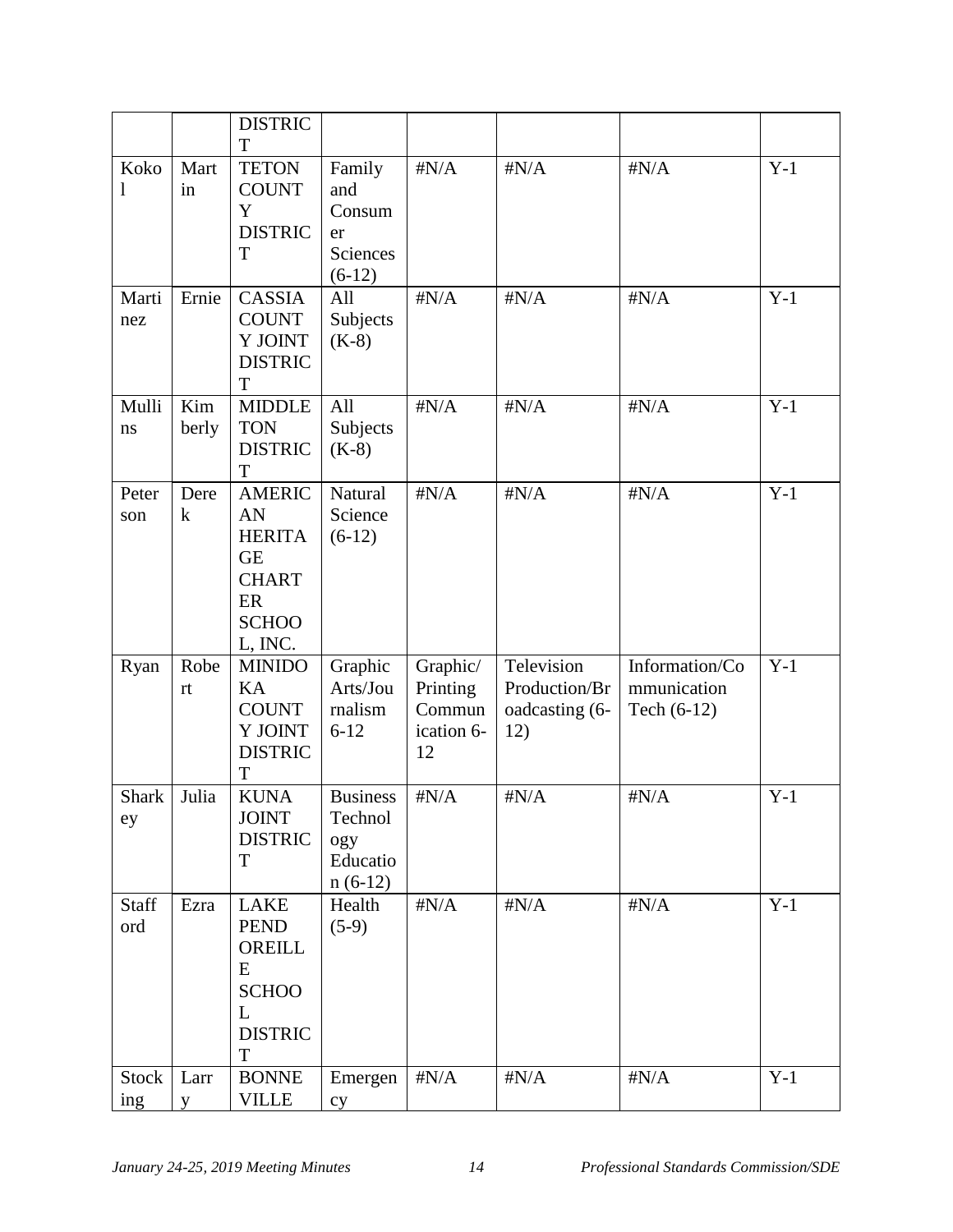|                     |                 | <b>DISTRIC</b><br>T                                                                                |                                                            |                                                    |                                                      |                                                |       |
|---------------------|-----------------|----------------------------------------------------------------------------------------------------|------------------------------------------------------------|----------------------------------------------------|------------------------------------------------------|------------------------------------------------|-------|
| Koko<br>1           | Mart<br>in      | <b>TETON</b><br><b>COUNT</b><br>$\mathbf Y$<br><b>DISTRIC</b><br>T                                 | Family<br>and<br>Consum<br>er<br>Sciences<br>$(6-12)$      | $\sharp N/A$                                       | $\sharp N/A$                                         | $\sharp N/A$                                   | $Y-1$ |
| Marti<br>nez        | Ernie           | <b>CASSIA</b><br><b>COUNT</b><br>Y JOINT<br><b>DISTRIC</b><br>T                                    | All<br>Subjects<br>$(K-8)$                                 | $\sharp N/A$                                       | $\sharp N/A$                                         | $\sharp N/A$                                   | $Y-1$ |
| Mulli<br>ns         | Kim<br>berly    | <b>MIDDLE</b><br><b>TON</b><br><b>DISTRIC</b><br>T                                                 | All<br>Subjects<br>$(K-8)$                                 | $\sharp N/A$                                       | $\sharp N/A$                                         | $\sharp N/A$                                   | $Y-1$ |
| Peter<br>son        | Dere<br>$\bf k$ | <b>AMERIC</b><br>AN<br><b>HERITA</b><br><b>GE</b><br><b>CHART</b><br>ER<br><b>SCHOO</b><br>L, INC. | Natural<br>Science<br>$(6-12)$                             | $\sharp N/A$                                       | $\sharp N/A$                                         | $\sharp N/A$                                   | $Y-1$ |
| Ryan                | Robe<br>rt      | <b>MINIDO</b><br>KA<br><b>COUNT</b><br>Y JOINT<br><b>DISTRIC</b><br>T                              | Graphic<br>Arts/Jou<br>rnalism<br>$6 - 12$                 | Graphic/<br>Printing<br>Commun<br>ication 6-<br>12 | Television<br>Production/Br<br>oadcasting (6-<br>12) | Information/Co<br>mmunication<br>Tech $(6-12)$ | $Y-1$ |
| Shark<br>ey         | Julia           | <b>KUNA</b><br><b>JOINT</b><br><b>DISTRIC</b><br>T                                                 | <b>Business</b><br>Technol<br>ogy<br>Educatio<br>$n(6-12)$ | $\sharp N/A$                                       | $\sharp N/A$                                         | $\sharp N/A$                                   | $Y-1$ |
| Staff<br>ord        | Ezra            | <b>LAKE</b><br><b>PEND</b><br>OREILL<br>E<br><b>SCHOO</b><br>L<br><b>DISTRIC</b><br>T              | Health<br>$(5-9)$                                          | $\sharp N/A$                                       | $\sharp N/A$                                         | $\sharp N/A$                                   | $Y-1$ |
| <b>Stock</b><br>ing | Larr<br>y       | <b>BONNE</b><br><b>VILLE</b>                                                                       | Emergen<br>cy                                              | $\sharp N/A$                                       | $\sharp N/A$                                         | $\sharp N/A$                                   | $Y-1$ |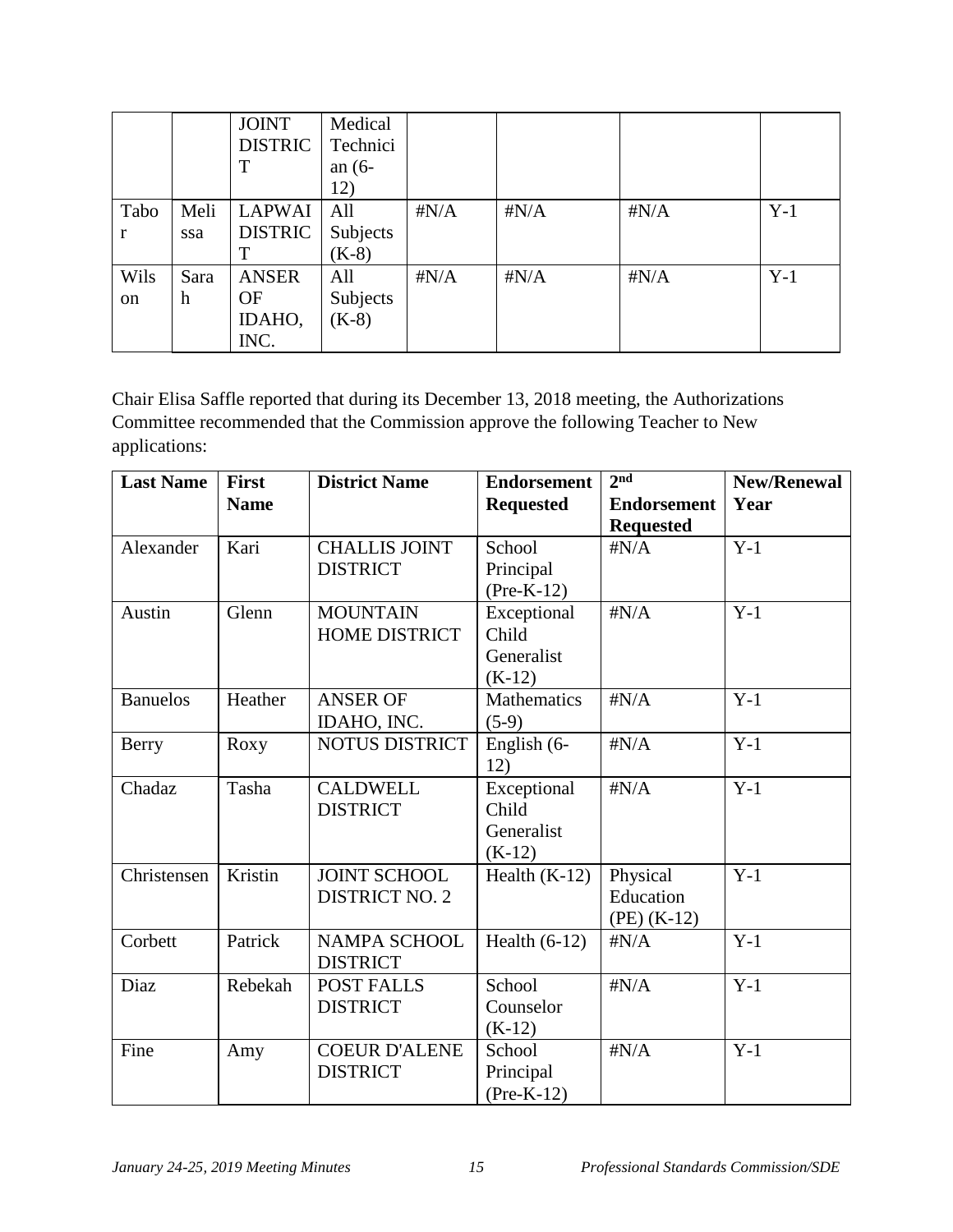|      |      | <b>JOINT</b>   | Medical  |              |              |              |       |
|------|------|----------------|----------|--------------|--------------|--------------|-------|
|      |      | <b>DISTRIC</b> | Technici |              |              |              |       |
|      |      | T              | an $(6-$ |              |              |              |       |
|      |      |                | 12)      |              |              |              |       |
| Tabo | Meli | <b>LAPWAI</b>  | All      | $\sharp N/A$ | $\sharp N/A$ | $\sharp N/A$ | $Y-1$ |
| r    | ssa  | <b>DISTRIC</b> | Subjects |              |              |              |       |
|      |      | т              | $(K-8)$  |              |              |              |       |
| Wils | Sara | <b>ANSER</b>   | All      | $\sharp N/A$ | $\sharp N/A$ | $\sharp N/A$ | $Y-1$ |
| on   | h    | <b>OF</b>      | Subjects |              |              |              |       |
|      |      | IDAHO,         | $(K-8)$  |              |              |              |       |
|      |      | INC.           |          |              |              |              |       |

Chair Elisa Saffle reported that during its December 13, 2018 meeting, the Authorizations Committee recommended that the Commission approve the following Teacher to New applications:

| <b>Last Name</b> | <b>First</b><br><b>Name</b> | <b>District Name</b>                         | <b>Endorsement</b><br><b>Requested</b>         | 2 <sup>nd</sup><br><b>Endorsement</b><br><b>Requested</b> | <b>New/Renewal</b><br>Year |
|------------------|-----------------------------|----------------------------------------------|------------------------------------------------|-----------------------------------------------------------|----------------------------|
| Alexander        | Kari                        | <b>CHALLIS JOINT</b><br><b>DISTRICT</b>      | School<br>Principal<br>$(Pre-K-12)$            | $\sharp N/A$                                              | $Y-1$                      |
| Austin           | Glenn                       | <b>MOUNTAIN</b><br><b>HOME DISTRICT</b>      | Exceptional<br>Child<br>Generalist<br>$(K-12)$ | $\sharp N/A$                                              | $Y-1$                      |
| <b>Banuelos</b>  | Heather                     | <b>ANSER OF</b><br>IDAHO, INC.               | <b>Mathematics</b><br>$(5-9)$                  | $\sharp N/A$                                              | $Y-1$                      |
| Berry            | Roxy                        | <b>NOTUS DISTRICT</b>                        | English (6-<br>12)                             | $\sharp N/A$                                              | $Y-1$                      |
| Chadaz           | Tasha                       | <b>CALDWELL</b><br><b>DISTRICT</b>           | Exceptional<br>Child<br>Generalist<br>$(K-12)$ | $\sharp N/A$                                              | $Y-1$                      |
| Christensen      | Kristin                     | <b>JOINT SCHOOL</b><br><b>DISTRICT NO. 2</b> | Health $(K-12)$                                | Physical<br>Education<br>$(PE)$ (K-12)                    | $Y-1$                      |
| Corbett          | Patrick                     | <b>NAMPA SCHOOL</b><br><b>DISTRICT</b>       | Health $(6-12)$                                | $\sharp N/A$                                              | $Y-1$                      |
| Diaz             | Rebekah                     | <b>POST FALLS</b><br><b>DISTRICT</b>         | School<br>Counselor<br>$(K-12)$                | $\sharp N/A$                                              | $Y-1$                      |
| Fine             | Amy                         | <b>COEUR D'ALENE</b><br><b>DISTRICT</b>      | School<br>Principal<br>$(Pre-K-12)$            | $\sharp N/A$                                              | $Y-1$                      |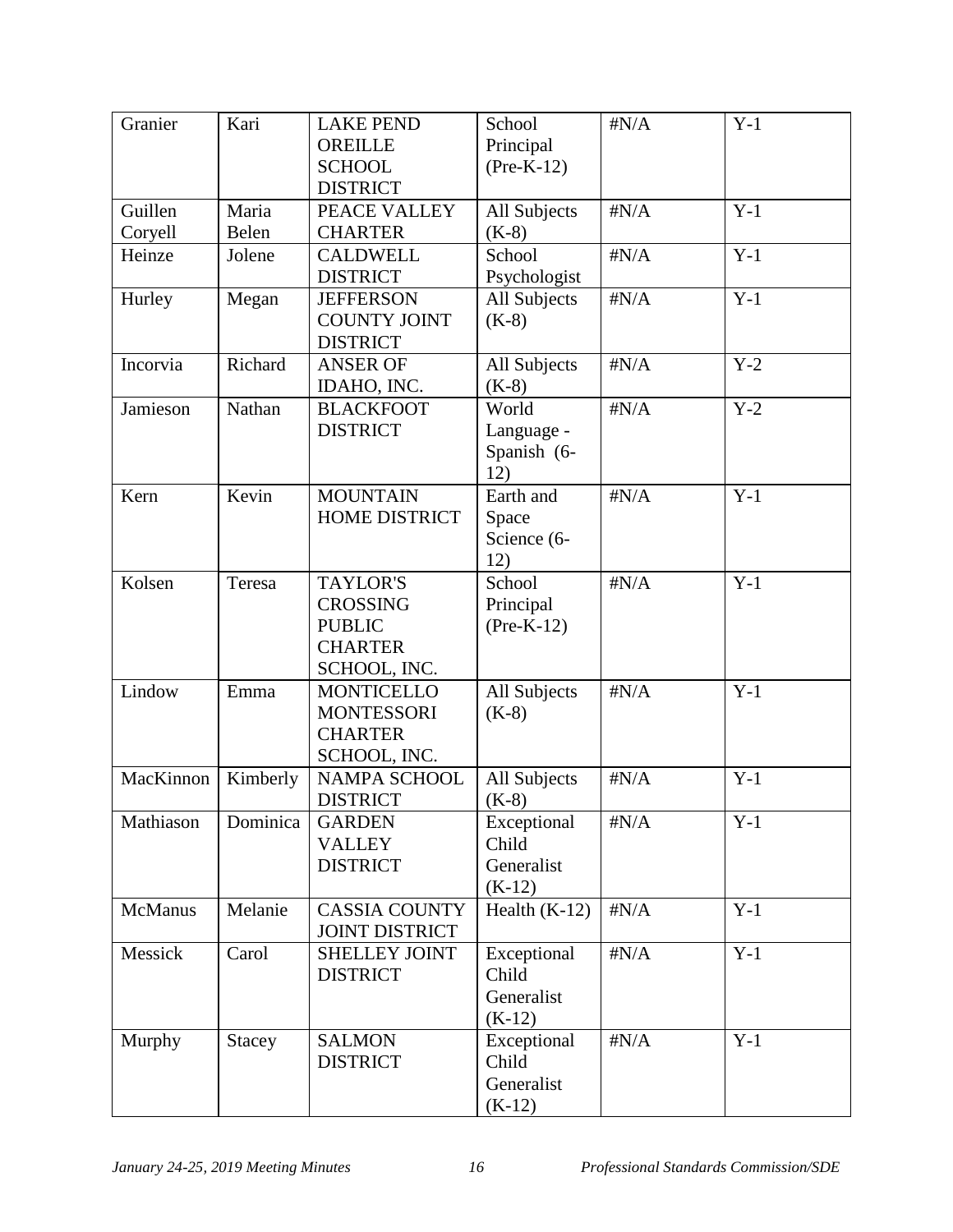| Granier   | Kari          | <b>LAKE PEND</b><br><b>OREILLE</b><br><b>SCHOOL</b>                                   | School<br>Principal<br>$(Pre-K-12)$            | $\sharp N/A$ | $Y-1$ |
|-----------|---------------|---------------------------------------------------------------------------------------|------------------------------------------------|--------------|-------|
|           |               | <b>DISTRICT</b>                                                                       |                                                |              |       |
| Guillen   | Maria         | PEACE VALLEY                                                                          | All Subjects                                   | $\sharp N/A$ | $Y-1$ |
| Coryell   | Belen         | <b>CHARTER</b>                                                                        | $(K-8)$                                        |              |       |
| Heinze    | Jolene        | <b>CALDWELL</b>                                                                       | School                                         | $\sharp N/A$ | $Y-1$ |
|           |               | <b>DISTRICT</b>                                                                       | Psychologist                                   |              |       |
| Hurley    | Megan         | <b>JEFFERSON</b><br><b>COUNTY JOINT</b><br><b>DISTRICT</b>                            | All Subjects<br>$(K-8)$                        | $\sharp N/A$ | $Y-1$ |
| Incorvia  | Richard       | <b>ANSER OF</b><br>IDAHO, INC.                                                        | All Subjects<br>$(K-8)$                        | $\sharp N/A$ | $Y-2$ |
| Jamieson  | Nathan        | <b>BLACKFOOT</b><br><b>DISTRICT</b>                                                   | World<br>Language -<br>Spanish (6-<br>12)      | $\sharp N/A$ | $Y-2$ |
| Kern      | Kevin         | <b>MOUNTAIN</b><br><b>HOME DISTRICT</b>                                               | Earth and<br>Space<br>Science (6-<br>12)       | $\sharp N/A$ | $Y-1$ |
| Kolsen    | Teresa        | <b>TAYLOR'S</b><br><b>CROSSING</b><br><b>PUBLIC</b><br><b>CHARTER</b><br>SCHOOL, INC. | School<br>Principal<br>$(Pre-K-12)$            | $\sharp N/A$ | $Y-1$ |
| Lindow    | Emma          | <b>MONTICELLO</b><br><b>MONTESSORI</b><br><b>CHARTER</b><br>SCHOOL, INC.              | All Subjects<br>$(K-8)$                        | $\sharp N/A$ | $Y-1$ |
| MacKinnon | Kimberly      | NAMPA SCHOOL<br><b>DISTRICT</b>                                                       | All Subjects<br>$(K-8)$                        | $\sharp N/A$ | $Y-1$ |
| Mathiason | Dominica      | <b>GARDEN</b><br><b>VALLEY</b><br><b>DISTRICT</b>                                     | Exceptional<br>Child<br>Generalist<br>$(K-12)$ | $\sharp N/A$ | $Y-1$ |
| McManus   | Melanie       | <b>CASSIA COUNTY</b><br><b>JOINT DISTRICT</b>                                         | Health $(K-12)$                                | $\sharp N/A$ | $Y-1$ |
| Messick   | Carol         | <b>SHELLEY JOINT</b><br><b>DISTRICT</b>                                               | Exceptional<br>Child<br>Generalist<br>$(K-12)$ | $\sharp N/A$ | $Y-1$ |
| Murphy    | <b>Stacey</b> | <b>SALMON</b><br><b>DISTRICT</b>                                                      | Exceptional<br>Child<br>Generalist<br>$(K-12)$ | $\sharp N/A$ | $Y-1$ |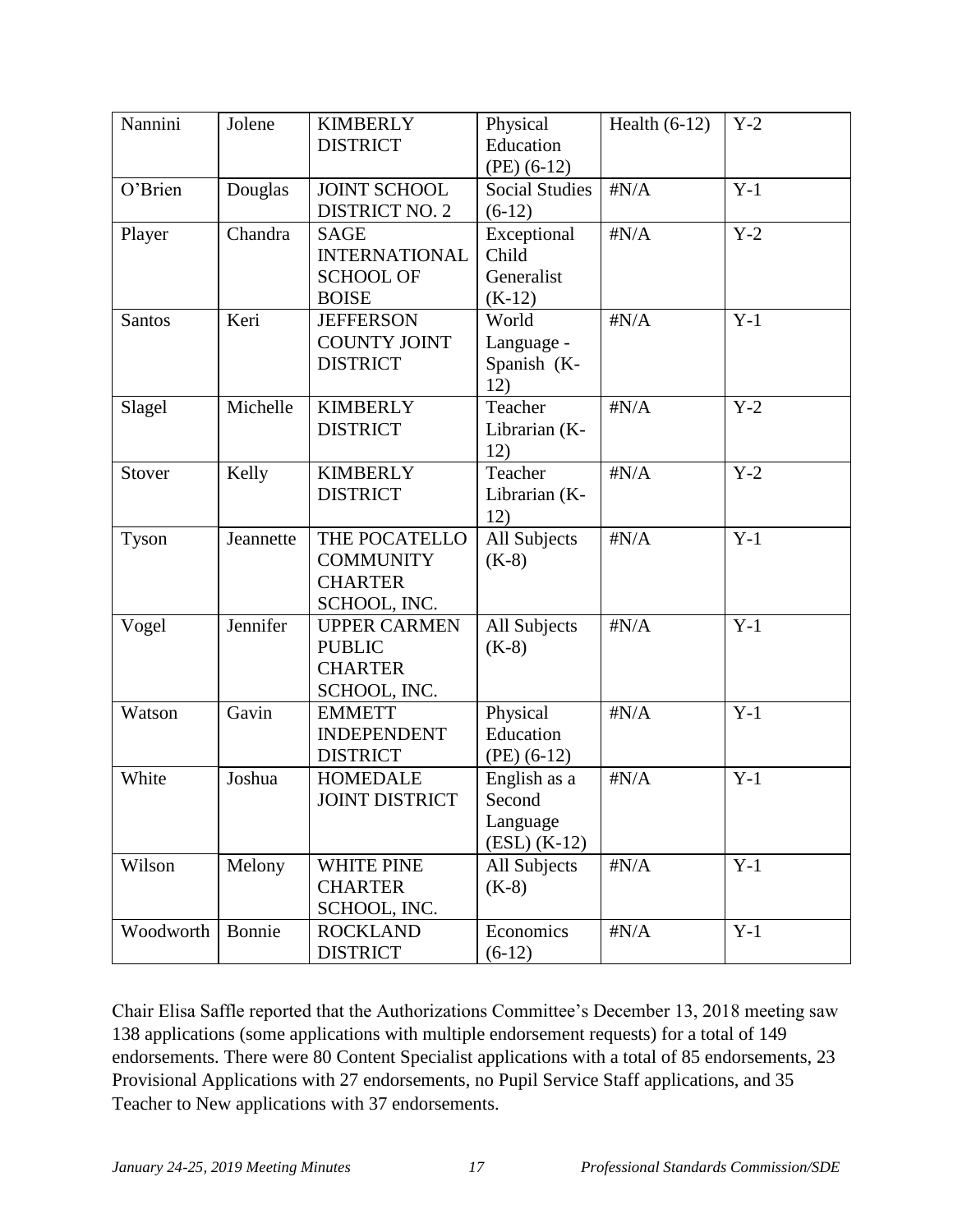| Nannini   | Jolene    | <b>KIMBERLY</b><br><b>DISTRICT</b>                                      | Physical<br>Education<br>$(PE)$ (6-12)               | Health $(6-12)$ | $Y-2$ |
|-----------|-----------|-------------------------------------------------------------------------|------------------------------------------------------|-----------------|-------|
| O'Brien   | Douglas   | JOINT SCHOOL<br><b>DISTRICT NO. 2</b>                                   | <b>Social Studies</b><br>$(6-12)$                    | $\sharp N/A$    | $Y-1$ |
| Player    | Chandra   | <b>SAGE</b><br><b>INTERNATIONAL</b><br><b>SCHOOL OF</b><br><b>BOISE</b> | Exceptional<br>Child<br>Generalist<br>$(K-12)$       | $\sharp N/A$    | $Y-2$ |
| Santos    | Keri      | <b>JEFFERSON</b><br><b>COUNTY JOINT</b><br><b>DISTRICT</b>              | World<br>Language -<br>Spanish (K-<br>12)            | $\sharp N/A$    | $Y-1$ |
| Slagel    | Michelle  | <b>KIMBERLY</b><br><b>DISTRICT</b>                                      | Teacher<br>Librarian (K-<br>12)                      | $\sharp N/A$    | $Y-2$ |
| Stover    | Kelly     | <b>KIMBERLY</b><br><b>DISTRICT</b>                                      | Teacher<br>Librarian (K-<br>12)                      | $\sharp N/A$    | $Y-2$ |
| Tyson     | Jeannette | THE POCATELLO<br><b>COMMUNITY</b><br><b>CHARTER</b><br>SCHOOL, INC.     | All Subjects<br>$(K-8)$                              | $\sharp N/A$    | $Y-1$ |
| Vogel     | Jennifer  | <b>UPPER CARMEN</b><br><b>PUBLIC</b><br><b>CHARTER</b><br>SCHOOL, INC.  | All Subjects<br>$(K-8)$                              | $\sharp N/A$    | $Y-1$ |
| Watson    | Gavin     | <b>EMMETT</b><br><b>INDEPENDENT</b><br><b>DISTRICT</b>                  | Physical<br>Education<br>$(PE)$ (6-12)               | $\sharp N/A$    | $Y-1$ |
| White     | Joshua    | <b>HOMEDALE</b><br><b>JOINT DISTRICT</b>                                | English as a<br>Second<br>Language<br>$(ESL) (K-12)$ | $\sharp N/A$    | $Y-1$ |
| Wilson    | Melony    | <b>WHITE PINE</b><br><b>CHARTER</b><br>SCHOOL, INC.                     | All Subjects<br>$(K-8)$                              | $\sharp N/A$    | $Y-1$ |
| Woodworth | Bonnie    | <b>ROCKLAND</b><br><b>DISTRICT</b>                                      | Economics<br>$(6-12)$                                | $\sharp N/A$    | $Y-1$ |

Chair Elisa Saffle reported that the Authorizations Committee's December 13, 2018 meeting saw 138 applications (some applications with multiple endorsement requests) for a total of 149 endorsements. There were 80 Content Specialist applications with a total of 85 endorsements, 23 Provisional Applications with 27 endorsements, no Pupil Service Staff applications, and 35 Teacher to New applications with 37 endorsements.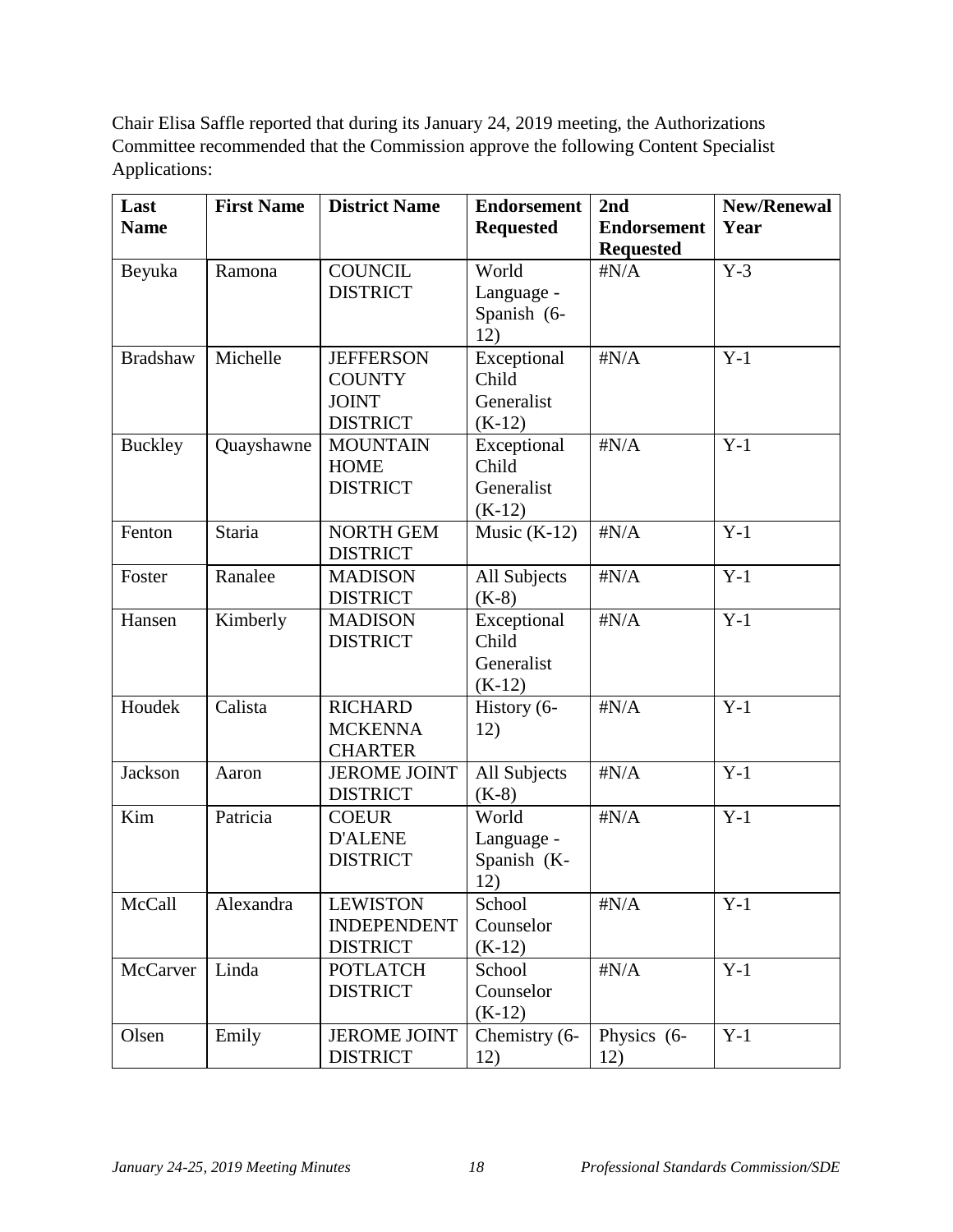Chair Elisa Saffle reported that during its January 24, 2019 meeting, the Authorizations Committee recommended that the Commission approve the following Content Specialist Applications:

| Last<br><b>Name</b> | <b>First Name</b> | <b>District Name</b>                                                 | <b>Endorsement</b><br><b>Requested</b>         | 2 <sub>nd</sub><br><b>Endorsement</b> | <b>New/Renewal</b><br>Year |
|---------------------|-------------------|----------------------------------------------------------------------|------------------------------------------------|---------------------------------------|----------------------------|
|                     |                   |                                                                      |                                                | <b>Requested</b>                      |                            |
| Beyuka              | Ramona            | <b>COUNCIL</b><br><b>DISTRICT</b>                                    | World<br>Language -<br>Spanish (6-<br>12)      | $\sharp N/A$                          | $Y-3$                      |
| <b>Bradshaw</b>     | Michelle          | <b>JEFFERSON</b><br><b>COUNTY</b><br><b>JOINT</b><br><b>DISTRICT</b> | Exceptional<br>Child<br>Generalist<br>$(K-12)$ | $\sharp N/A$                          | $Y-1$                      |
| <b>Buckley</b>      | Quayshawne        | <b>MOUNTAIN</b><br><b>HOME</b><br><b>DISTRICT</b>                    | Exceptional<br>Child<br>Generalist<br>$(K-12)$ | $\sharp N/A$                          | $Y-1$                      |
| Fenton              | <b>Staria</b>     | <b>NORTH GEM</b><br><b>DISTRICT</b>                                  | Music $(K-12)$                                 | $\sharp N/A$                          | $Y-1$                      |
| Foster              | Ranalee           | <b>MADISON</b><br><b>DISTRICT</b>                                    | All Subjects<br>$(K-8)$                        | $\sharp N/A$                          | $Y-1$                      |
| Hansen              | Kimberly          | <b>MADISON</b><br><b>DISTRICT</b>                                    | Exceptional<br>Child<br>Generalist<br>$(K-12)$ | $\sharp N/A$                          | $Y-1$                      |
| Houdek              | Calista           | <b>RICHARD</b><br><b>MCKENNA</b><br><b>CHARTER</b>                   | History (6-<br>12)                             | $\sharp N/A$                          | $Y-1$                      |
| Jackson             | Aaron             | <b>JEROME JOINT</b><br><b>DISTRICT</b>                               | All Subjects<br>$(K-8)$                        | $\sharp N/A$                          | $Y-1$                      |
| Kim                 | Patricia          | <b>COEUR</b><br><b>D'ALENE</b><br><b>DISTRICT</b>                    | World<br>Language -<br>Spanish (K-<br>12)      | $\sharp N/A$                          | $Y-1$                      |
| McCall              | Alexandra         | <b>LEWISTON</b><br><b>INDEPENDENT</b><br><b>DISTRICT</b>             | School<br>Counselor<br>$(K-12)$                | $\sharp N/A$                          | $Y-1$                      |
| McCarver            | Linda             | <b>POTLATCH</b><br><b>DISTRICT</b>                                   | School<br>Counselor<br>$(K-12)$                | $\sharp N/A$                          | $Y-1$                      |
| Olsen               | Emily             | <b>JEROME JOINT</b><br><b>DISTRICT</b>                               | Chemistry (6-<br>12)                           | Physics (6-<br>12)                    | $Y-1$                      |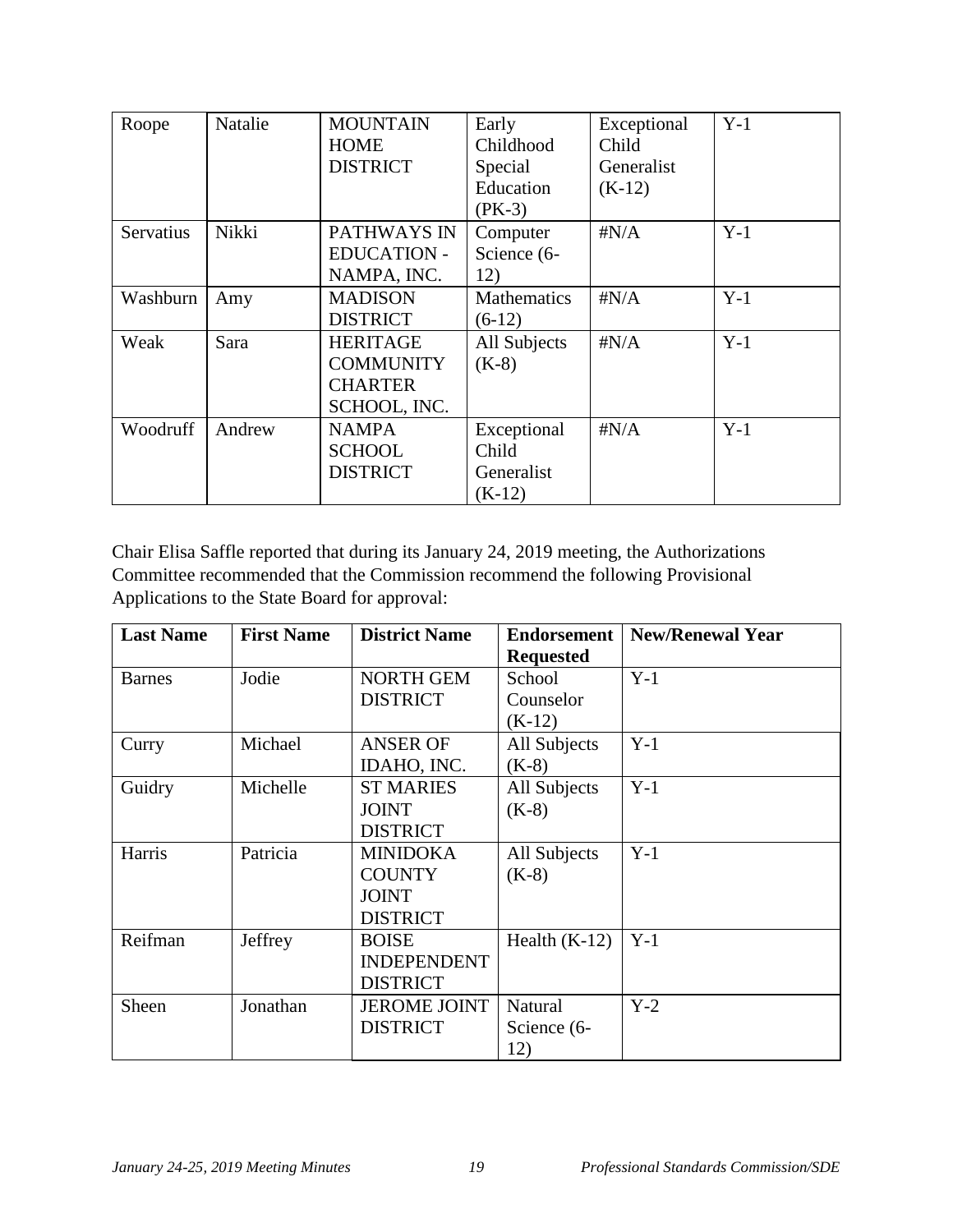| Roope     | Natalie | <b>MOUNTAIN</b>    | Early              | Exceptional  | $Y-1$ |
|-----------|---------|--------------------|--------------------|--------------|-------|
|           |         | <b>HOME</b>        | Childhood          | Child        |       |
|           |         | <b>DISTRICT</b>    | Special            | Generalist   |       |
|           |         |                    | Education          | $(K-12)$     |       |
|           |         |                    | $(PK-3)$           |              |       |
| Servatius | Nikki   | PATHWAYS IN        | Computer           | $\sharp N/A$ | $Y-1$ |
|           |         | <b>EDUCATION -</b> | Science (6-        |              |       |
|           |         | NAMPA, INC.        | 12)                |              |       |
| Washburn  | Amy     | <b>MADISON</b>     | <b>Mathematics</b> | $\sharp N/A$ | $Y-1$ |
|           |         | <b>DISTRICT</b>    | $(6-12)$           |              |       |
| Weak      | Sara    | <b>HERITAGE</b>    | All Subjects       | $\sharp N/A$ | $Y-1$ |
|           |         | <b>COMMUNITY</b>   | $(K-8)$            |              |       |
|           |         | <b>CHARTER</b>     |                    |              |       |
|           |         | SCHOOL, INC.       |                    |              |       |
| Woodruff  | Andrew  | <b>NAMPA</b>       | Exceptional        | $\sharp N/A$ | $Y-1$ |
|           |         | <b>SCHOOL</b>      | Child              |              |       |
|           |         | <b>DISTRICT</b>    | Generalist         |              |       |
|           |         |                    | $(K-12)$           |              |       |

Chair Elisa Saffle reported that during its January 24, 2019 meeting, the Authorizations Committee recommended that the Commission recommend the following Provisional Applications to the State Board for approval:

| <b>Last Name</b> | <b>First Name</b> | <b>District Name</b> | <b>Endorsement</b><br><b>Requested</b> | <b>New/Renewal Year</b> |
|------------------|-------------------|----------------------|----------------------------------------|-------------------------|
| <b>Barnes</b>    | Jodie             | <b>NORTH GEM</b>     | School                                 | $Y-1$                   |
|                  |                   | <b>DISTRICT</b>      | Counselor                              |                         |
|                  |                   |                      | $(K-12)$                               |                         |
| Curry            | Michael           | <b>ANSER OF</b>      | All Subjects                           | $Y-1$                   |
|                  |                   | IDAHO, INC.          | $(K-8)$                                |                         |
| Guidry           | Michelle          | <b>ST MARIES</b>     | All Subjects                           | $Y-1$                   |
|                  |                   | <b>JOINT</b>         | $(K-8)$                                |                         |
|                  |                   | <b>DISTRICT</b>      |                                        |                         |
| Harris           | Patricia          | <b>MINIDOKA</b>      | All Subjects                           | $Y-1$                   |
|                  |                   | <b>COUNTY</b>        | $(K-8)$                                |                         |
|                  |                   | <b>JOINT</b>         |                                        |                         |
|                  |                   | <b>DISTRICT</b>      |                                        |                         |
| Reifman          | Jeffrey           | <b>BOISE</b>         | Health $(K-12)$                        | $Y-1$                   |
|                  |                   | <b>INDEPENDENT</b>   |                                        |                         |
|                  |                   | <b>DISTRICT</b>      |                                        |                         |
| Sheen            | Jonathan          | <b>JEROME JOINT</b>  | Natural                                | $Y-2$                   |
|                  |                   | <b>DISTRICT</b>      | Science (6-                            |                         |
|                  |                   |                      | 12)                                    |                         |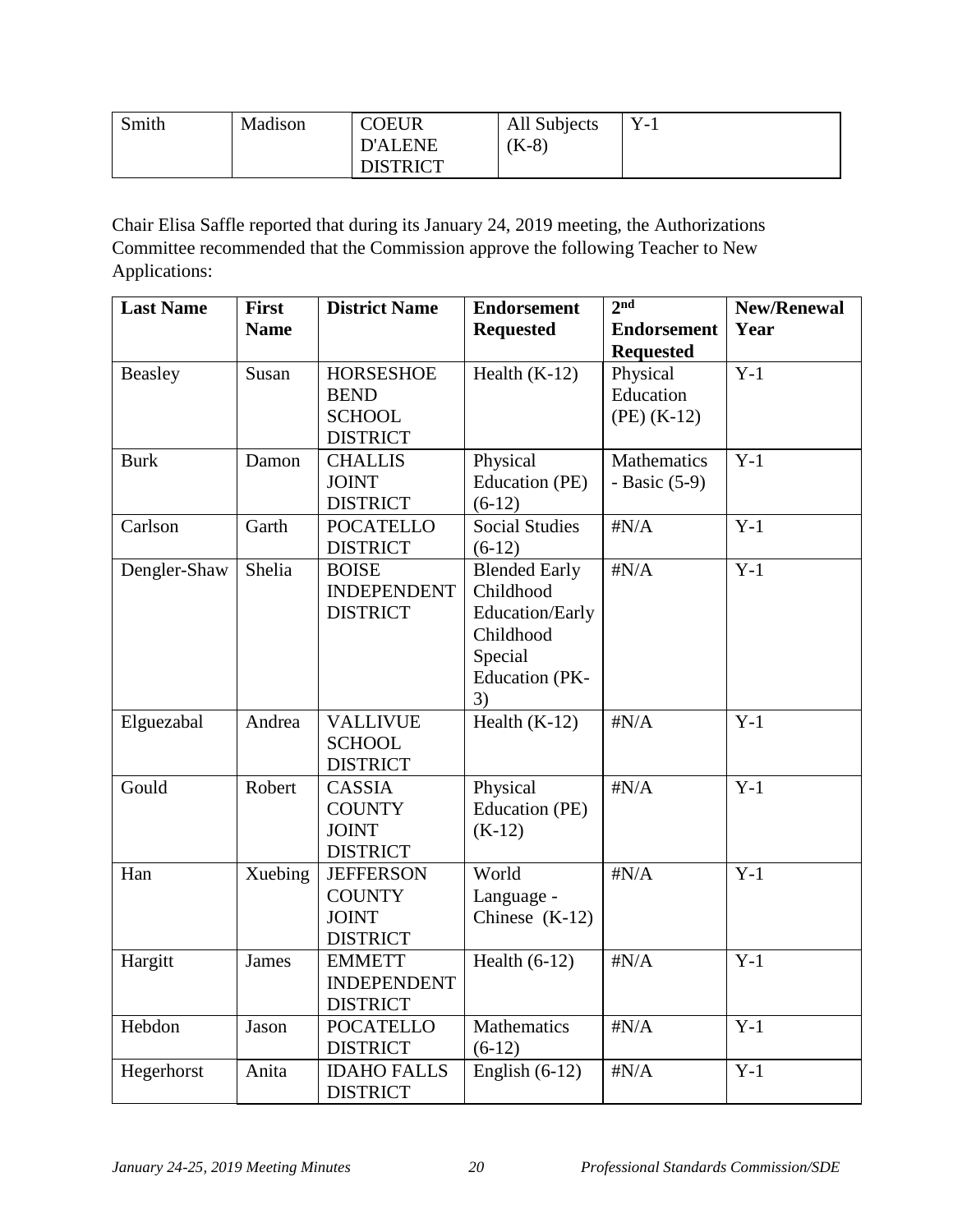| Smith | Madison | <b>COEUR</b>    | All Subjects | $Y_{-}$ |
|-------|---------|-----------------|--------------|---------|
|       |         | <b>D'ALENE</b>  | $(K-8)$      |         |
|       |         | <b>DISTRICT</b> |              |         |

Chair Elisa Saffle reported that during its January 24, 2019 meeting, the Authorizations Committee recommended that the Commission approve the following Teacher to New Applications:

| <b>Last Name</b> | <b>First</b> | <b>District Name</b> | <b>Endorsement</b>    | 2 <sup>nd</sup>    | <b>New/Renewal</b> |
|------------------|--------------|----------------------|-----------------------|--------------------|--------------------|
|                  | <b>Name</b>  |                      | <b>Requested</b>      | <b>Endorsement</b> | Year               |
|                  |              |                      |                       | <b>Requested</b>   |                    |
| Beasley          | Susan        | <b>HORSESHOE</b>     | Health $(K-12)$       | Physical           | $Y-1$              |
|                  |              | <b>BEND</b>          |                       | Education          |                    |
|                  |              | <b>SCHOOL</b>        |                       | $(PE)$ (K-12)      |                    |
|                  |              | <b>DISTRICT</b>      |                       |                    |                    |
| <b>Burk</b>      | Damon        | <b>CHALLIS</b>       | Physical              | Mathematics        | $Y-1$              |
|                  |              | <b>JOINT</b>         | Education (PE)        | - Basic $(5-9)$    |                    |
|                  |              | <b>DISTRICT</b>      | $(6-12)$              |                    |                    |
| Carlson          | Garth        | <b>POCATELLO</b>     | <b>Social Studies</b> | $\sharp N/A$       | $Y-1$              |
|                  |              | <b>DISTRICT</b>      | $(6-12)$              |                    |                    |
| Dengler-Shaw     | Shelia       | <b>BOISE</b>         | <b>Blended Early</b>  | $\sharp N/A$       | $Y-1$              |
|                  |              | <b>INDEPENDENT</b>   | Childhood             |                    |                    |
|                  |              | <b>DISTRICT</b>      | Education/Early       |                    |                    |
|                  |              |                      | Childhood             |                    |                    |
|                  |              |                      | Special               |                    |                    |
|                  |              |                      | <b>Education</b> (PK- |                    |                    |
|                  |              |                      | 3)                    |                    |                    |
| Elguezabal       | Andrea       | <b>VALLIVUE</b>      | Health $(K-12)$       | $\sharp N/A$       | $Y-1$              |
|                  |              | <b>SCHOOL</b>        |                       |                    |                    |
|                  |              | <b>DISTRICT</b>      |                       |                    |                    |
| Gould            | Robert       | <b>CASSIA</b>        | Physical              | $\sharp N/A$       | $Y-1$              |
|                  |              | <b>COUNTY</b>        | Education (PE)        |                    |                    |
|                  |              | <b>JOINT</b>         | $(K-12)$              |                    |                    |
|                  |              | <b>DISTRICT</b>      |                       |                    |                    |
| Han              | Xuebing      | <b>JEFFERSON</b>     | World                 | $\sharp N/A$       | $Y-1$              |
|                  |              | <b>COUNTY</b>        | Language -            |                    |                    |
|                  |              | <b>JOINT</b>         | Chinese $(K-12)$      |                    |                    |
|                  |              | <b>DISTRICT</b>      |                       |                    |                    |
| Hargitt          | <b>James</b> | <b>EMMETT</b>        | Health $(6-12)$       | $\sharp N/A$       | $Y-1$              |
|                  |              | <b>INDEPENDENT</b>   |                       |                    |                    |
|                  |              | <b>DISTRICT</b>      |                       |                    |                    |
| Hebdon           | Jason        | <b>POCATELLO</b>     | Mathematics           | $\sharp N/A$       | $Y-1$              |
|                  |              | <b>DISTRICT</b>      | $(6-12)$              |                    |                    |
| Hegerhorst       | Anita        | <b>IDAHO FALLS</b>   | English $(6-12)$      | $\sharp N/A$       | $Y-1$              |
|                  |              | <b>DISTRICT</b>      |                       |                    |                    |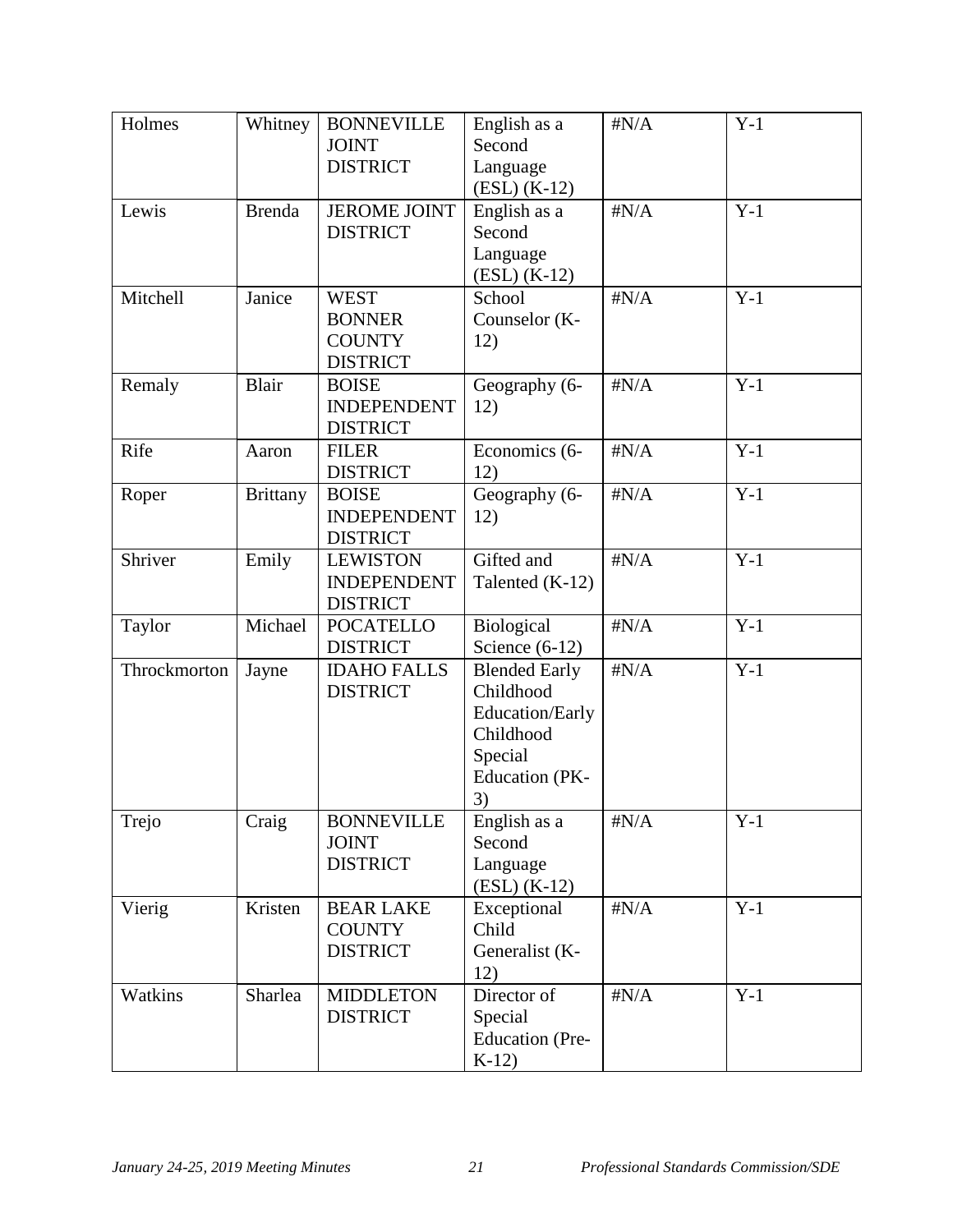| Holmes       | Whitney         | <b>BONNEVILLE</b><br><b>JOINT</b><br><b>DISTRICT</b>             | English as a<br>Second<br>Language<br>$(ESL) (K-12)$                                                        | $\sharp N/A$ | $Y-1$ |
|--------------|-----------------|------------------------------------------------------------------|-------------------------------------------------------------------------------------------------------------|--------------|-------|
| Lewis        | <b>Brenda</b>   | <b>JEROME JOINT</b><br><b>DISTRICT</b>                           | English as a<br>Second<br>Language<br>$(ESL) (K-12)$                                                        | $\sharp N/A$ | $Y-1$ |
| Mitchell     | Janice          | <b>WEST</b><br><b>BONNER</b><br><b>COUNTY</b><br><b>DISTRICT</b> | School<br>Counselor (K-<br>12)                                                                              | $\sharp N/A$ | $Y-1$ |
| Remaly       | <b>Blair</b>    | <b>BOISE</b><br><b>INDEPENDENT</b><br><b>DISTRICT</b>            | Geography (6-<br>12)                                                                                        | $\sharp N/A$ | $Y-1$ |
| Rife         | Aaron           | <b>FILER</b><br><b>DISTRICT</b>                                  | Economics (6-<br>12)                                                                                        | $\sharp N/A$ | $Y-1$ |
| Roper        | <b>Brittany</b> | <b>BOISE</b><br><b>INDEPENDENT</b><br><b>DISTRICT</b>            | Geography (6-<br>12)                                                                                        | $\sharp N/A$ | $Y-1$ |
| Shriver      | Emily           | <b>LEWISTON</b><br><b>INDEPENDENT</b><br><b>DISTRICT</b>         | Gifted and<br>Talented (K-12)                                                                               | $\sharp N/A$ | $Y-1$ |
| Taylor       | Michael         | <b>POCATELLO</b><br><b>DISTRICT</b>                              | Biological<br>Science $(6-12)$                                                                              | $\sharp N/A$ | $Y-1$ |
| Throckmorton | Jayne           | <b>IDAHO FALLS</b><br><b>DISTRICT</b>                            | <b>Blended Early</b><br>Childhood<br>Education/Early<br>Childhood<br>Special<br><b>Education</b> (PK-<br>3) | $\sharp N/A$ | $Y-1$ |
| Trejo        | Craig           | <b>BONNEVILLE</b><br><b>JOINT</b><br><b>DISTRICT</b>             | English as a<br>Second<br>Language<br>$(ESL) (K-12)$                                                        | $\sharp N/A$ | $Y-1$ |
| Vierig       | Kristen         | <b>BEAR LAKE</b><br><b>COUNTY</b><br><b>DISTRICT</b>             | Exceptional<br>Child<br>Generalist (K-<br>12)                                                               | $\sharp N/A$ | $Y-1$ |
| Watkins      | Sharlea         | <b>MIDDLETON</b><br><b>DISTRICT</b>                              | Director of<br>Special<br>Education (Pre-<br>$K-12$                                                         | $\sharp N/A$ | $Y-1$ |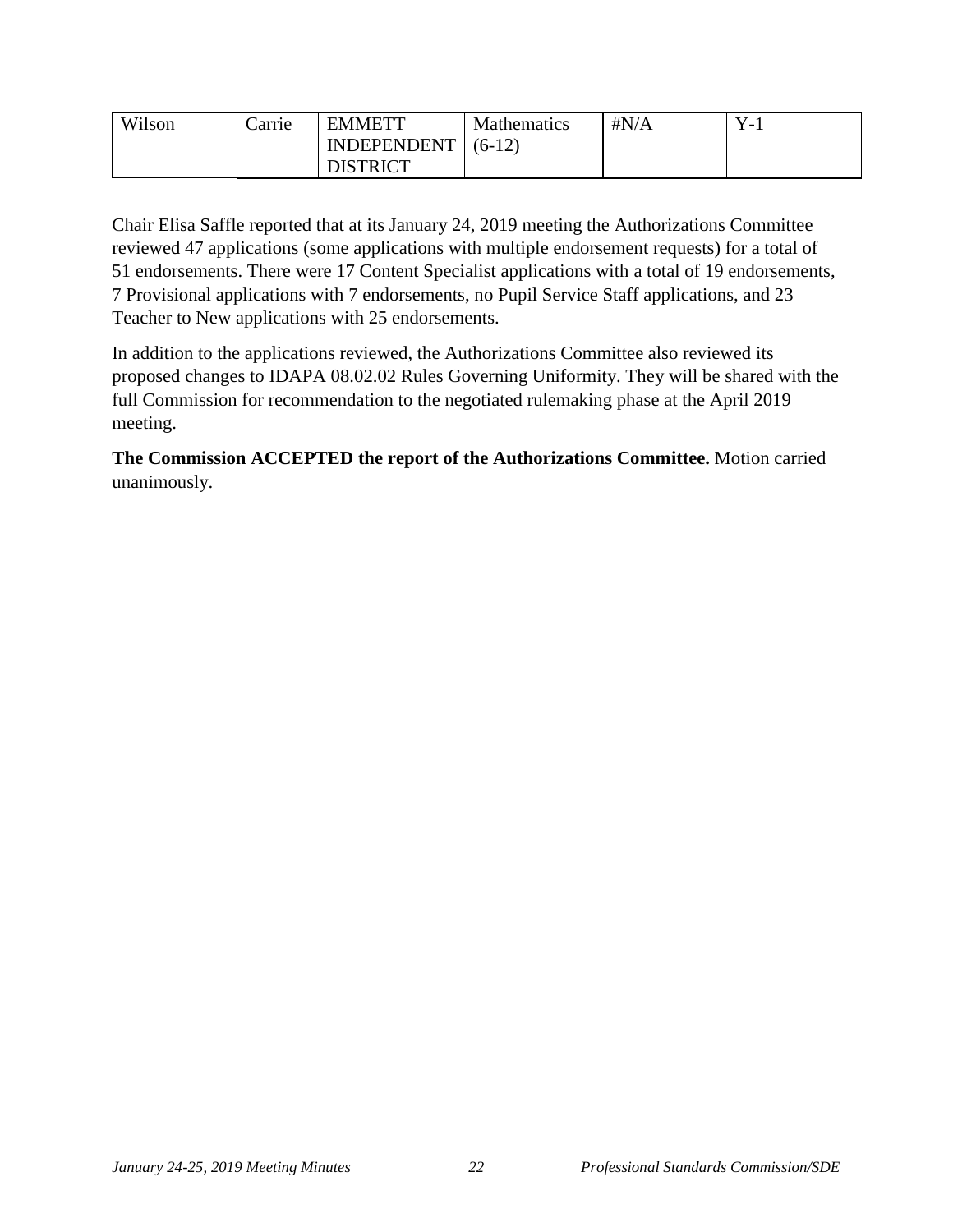| Wilson | Carrie | <b>EMMETT</b>   | <b>Mathematics</b> | $\sharp N/A$ | $\overline{\phantom{0}}$ |
|--------|--------|-----------------|--------------------|--------------|--------------------------|
|        |        | INDEPENDENT     | $(6-12)$           |              |                          |
|        |        | <b>DISTRICT</b> |                    |              |                          |

Chair Elisa Saffle reported that at its January 24, 2019 meeting the Authorizations Committee reviewed 47 applications (some applications with multiple endorsement requests) for a total of 51 endorsements. There were 17 Content Specialist applications with a total of 19 endorsements, 7 Provisional applications with 7 endorsements, no Pupil Service Staff applications, and 23 Teacher to New applications with 25 endorsements.

In addition to the applications reviewed, the Authorizations Committee also reviewed its proposed changes to IDAPA 08.02.02 Rules Governing Uniformity. They will be shared with the full Commission for recommendation to the negotiated rulemaking phase at the April 2019 meeting.

**The Commission ACCEPTED the report of the Authorizations Committee.** Motion carried unanimously.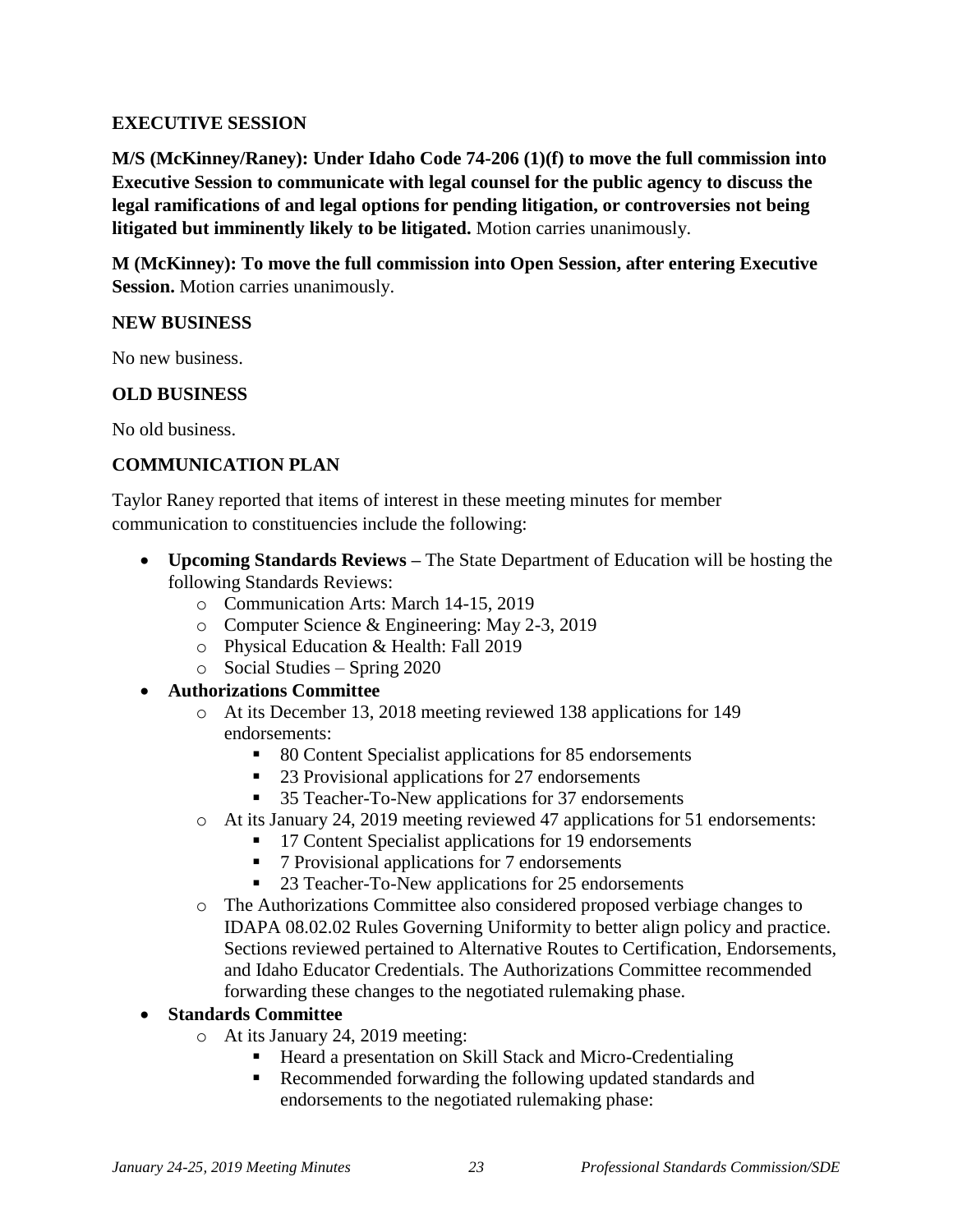### **EXECUTIVE SESSION**

**M/S (McKinney/Raney): Under Idaho Code 74-206 (1)(f) to move the full commission into Executive Session to communicate with legal counsel for the public agency to discuss the legal ramifications of and legal options for pending litigation, or controversies not being litigated but imminently likely to be litigated.** Motion carries unanimously.

**M (McKinney): To move the full commission into Open Session, after entering Executive Session.** Motion carries unanimously.

#### **NEW BUSINESS**

No new business.

### **OLD BUSINESS**

No old business.

### **COMMUNICATION PLAN**

Taylor Raney reported that items of interest in these meeting minutes for member communication to constituencies include the following:

- **Upcoming Standards Reviews –** The State Department of Education will be hosting the following Standards Reviews:
	- o Communication Arts: March 14-15, 2019
	- o Computer Science & Engineering: May 2-3, 2019
	- o Physical Education & Health: Fall 2019
	- o Social Studies Spring 2020
- **Authorizations Committee**
	- o At its December 13, 2018 meeting reviewed 138 applications for 149 endorsements:
		- 80 Content Specialist applications for 85 endorsements
		- 23 Provisional applications for 27 endorsements
		- 35 Teacher-To-New applications for 37 endorsements
	- o At its January 24, 2019 meeting reviewed 47 applications for 51 endorsements:
		- 17 Content Specialist applications for 19 endorsements
			- 7 Provisional applications for 7 endorsements
			- 23 Teacher-To-New applications for 25 endorsements
	- o The Authorizations Committee also considered proposed verbiage changes to IDAPA 08.02.02 Rules Governing Uniformity to better align policy and practice. Sections reviewed pertained to Alternative Routes to Certification, Endorsements, and Idaho Educator Credentials. The Authorizations Committee recommended forwarding these changes to the negotiated rulemaking phase.

### **Standards Committee**

- o At its January 24, 2019 meeting:
	- Heard a presentation on Skill Stack and Micro-Credentialing
	- Recommended forwarding the following updated standards and endorsements to the negotiated rulemaking phase: